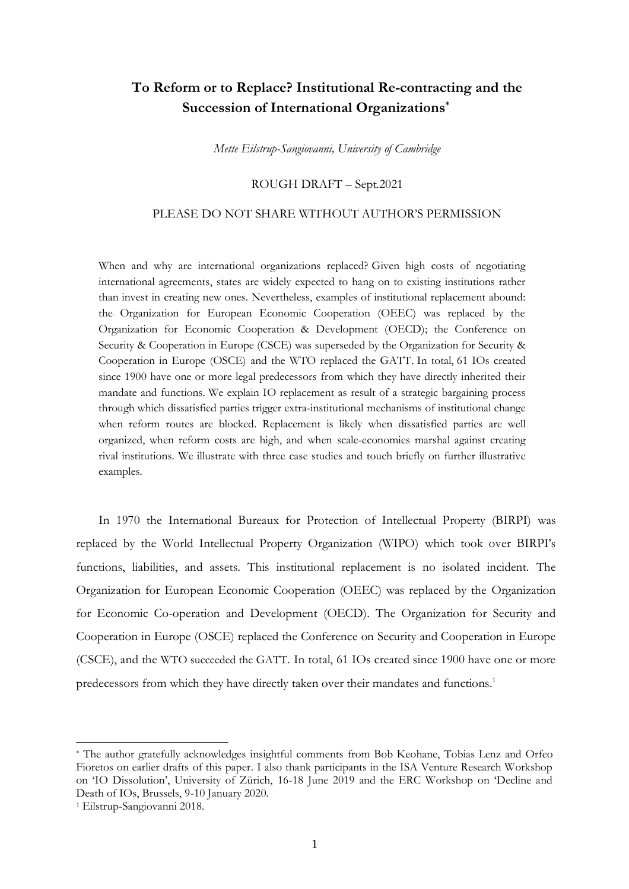# **To Reform or to Replace? Institutional Re-contracting and the Succession of International Organizations \***

*Mette Eilstrup-Sangiovanni, University of Cambridge*

## ROUGH DRAFT – Sept.2021

## PLEASE DO NOT SHARE WITHOUT AUTHOR'S PERMISSION

When and why are international organizations replaced? Given high costs of negotiating international agreements, states are widely expected to hang on to existing institutions rather than invest in creating new ones. Nevertheless, examples of institutional replacement abound: the Organization for European Economic Cooperation (OEEC) was replaced by the Organization for Economic Cooperation & Development (OECD); the Conference on Security & Cooperation in Europe (CSCE) was superseded by the Organization for Security & Cooperation in Europe (OSCE) and the WTO replaced the GATT. In total, 61 IOs created since 1900 have one or more legal predecessors from which they have directly inherited their mandate and functions. We explain IO replacement as result of a strategic bargaining process through which dissatisfied parties trigger extra-institutional mechanisms of institutional change when reform routes are blocked. Replacement is likely when dissatisfied parties are well organized, when reform costs are high, and when scale-economies marshal against creating rival institutions. We illustrate with three case studies and touch briefly on further illustrative examples.

In 1970 the International Bureaux for Protection of Intellectual Property (BIRPI) was replaced by the World Intellectual Property Organization (WIPO) which took over BIRPI's functions, liabilities, and assets. This institutional replacement is no isolated incident. The Organization for European Economic Cooperation (OEEC) was replaced by the Organization for Economic Co-operation and Development (OECD). The Organization for Security and Cooperation in Europe (OSCE) replaced the Conference on Security and Cooperation in Europe (CSCE), and the WTO succeeded the GATT. In total, 61 IOs created since 1900 have one or more predecessors from which they have directly taken over their mandates and functions. 1

<sup>\*</sup> The author gratefully acknowledges insightful comments from Bob Keohane, Tobias Lenz and Orfeo Fioretos on earlier drafts of this paper. I also thank participants in the ISA Venture Research Workshop on 'IO Dissolution', University of Zürich, 16-18 June 2019 and the ERC Workshop on 'Decline and Death of IOs, Brussels, 9-10 January 2020.

<sup>1</sup> Eilstrup-Sangiovanni 2018.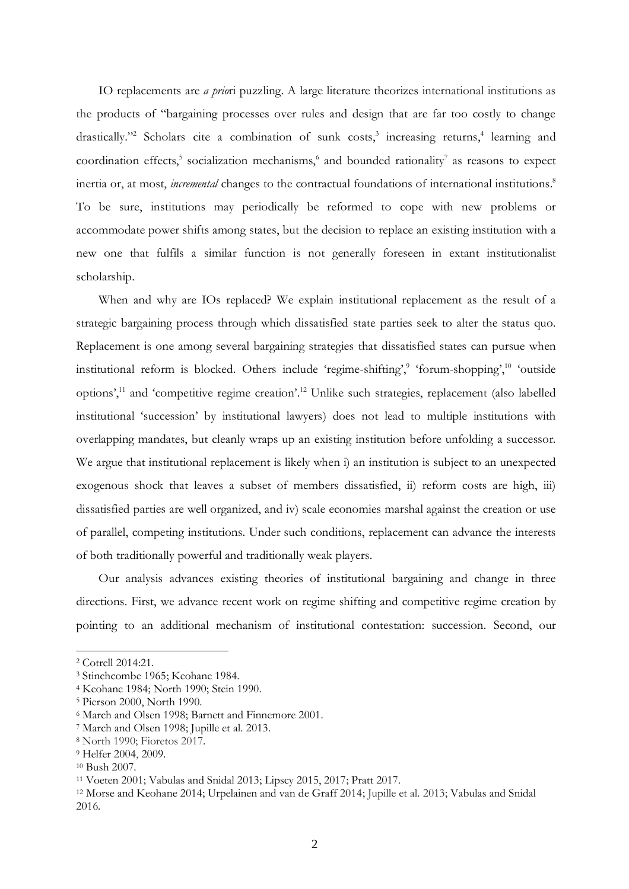IO replacements are *a prio*ri puzzling. A large literature theorizes international institutions as the products of "bargaining processes over rules and design that are far too costly to change drastically."<sup>2</sup> Scholars cite a combination of sunk costs,<sup>3</sup> increasing returns,<sup>4</sup> learning and coordination effects,<sup>5</sup> socialization mechanisms,<sup>6</sup> and bounded rationality<sup>7</sup> as reasons to expect inertia or, at most, *incremental* changes to the contractual foundations of international institutions. 8 To be sure, institutions may periodically be reformed to cope with new problems or accommodate power shifts among states, but the decision to replace an existing institution with a new one that fulfils a similar function is not generally foreseen in extant institutionalist scholarship.

When and why are IOs replaced? We explain institutional replacement as the result of a strategic bargaining process through which dissatisfied state parties seek to alter the status quo. Replacement is one among several bargaining strategies that dissatisfied states can pursue when institutional reform is blocked. Others include 'regime-shifting',<sup>9</sup> 'forum-shopping',<sup>10</sup> 'outside options', <sup>11</sup> and 'competitive regime creation'. <sup>12</sup> Unlike such strategies, replacement (also labelled institutional 'succession' by institutional lawyers) does not lead to multiple institutions with overlapping mandates, but cleanly wraps up an existing institution before unfolding a successor. We argue that institutional replacement is likely when i) an institution is subject to an unexpected exogenous shock that leaves a subset of members dissatisfied, ii) reform costs are high, iii) dissatisfied parties are well organized, and iv) scale economies marshal against the creation or use of parallel, competing institutions. Under such conditions, replacement can advance the interests of both traditionally powerful and traditionally weak players.

Our analysis advances existing theories of institutional bargaining and change in three directions. First, we advance recent work on regime shifting and competitive regime creation by pointing to an additional mechanism of institutional contestation: succession. Second, our

<sup>2</sup> Cotrell 2014:21.

<sup>3</sup> Stinchcombe 1965; Keohane 1984.

<sup>4</sup> Keohane 1984; North 1990; Stein 1990.

<sup>5</sup> Pierson 2000, North 1990.

<sup>6</sup> March and Olsen 1998; Barnett and Finnemore 2001.

<sup>7</sup> March and Olsen 1998; Jupille et al. 2013.

<sup>8</sup> North 1990; Fioretos 2017.

<sup>9</sup> Helfer 2004, 2009.

<sup>10</sup> Bush 2007.

<sup>11</sup> Voeten 2001; Vabulas and Snidal 2013; Lipscy 2015, 2017; Pratt 2017.

<sup>12</sup> Morse and Keohane 2014; Urpelainen and van de Graff 2014; Jupille et al. 2013; Vabulas and Snidal 2016.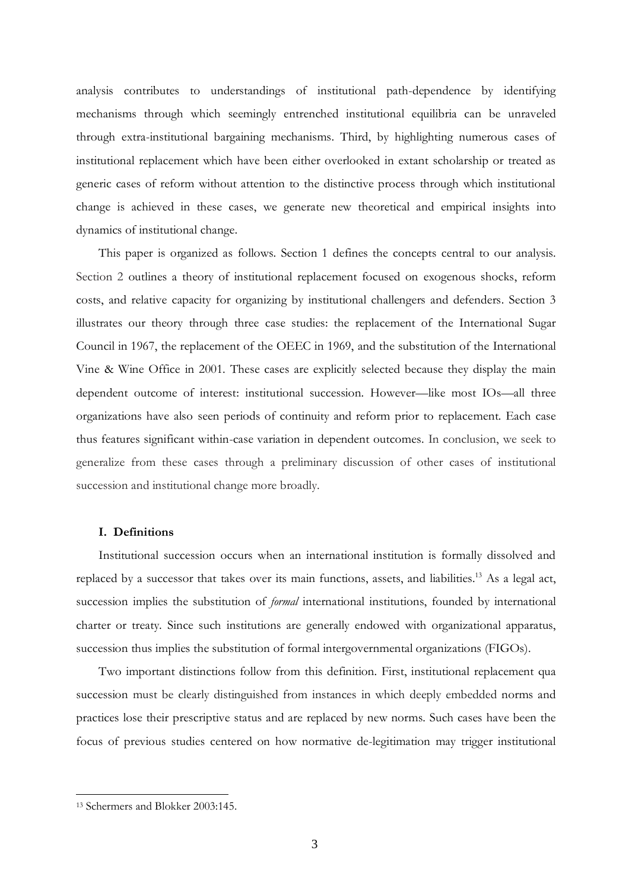analysis contributes to understandings of institutional path-dependence by identifying mechanisms through which seemingly entrenched institutional equilibria can be unraveled through extra-institutional bargaining mechanisms. Third, by highlighting numerous cases of institutional replacement which have been either overlooked in extant scholarship or treated as generic cases of reform without attention to the distinctive process through which institutional change is achieved in these cases, we generate new theoretical and empirical insights into dynamics of institutional change.

This paper is organized as follows. Section 1 defines the concepts central to our analysis. Section 2 outlines a theory of institutional replacement focused on exogenous shocks, reform costs, and relative capacity for organizing by institutional challengers and defenders. Section 3 illustrates our theory through three case studies: the replacement of the International Sugar Council in 1967, the replacement of the OEEC in 1969, and the substitution of the International Vine & Wine Office in 2001. These cases are explicitly selected because they display the main dependent outcome of interest: institutional succession. However—like most IOs—all three organizations have also seen periods of continuity and reform prior to replacement. Each case thus features significant within-case variation in dependent outcomes. In conclusion, we seek to generalize from these cases through a preliminary discussion of other cases of institutional succession and institutional change more broadly.

## **I. Definitions**

Institutional succession occurs when an international institution is formally dissolved and replaced by a successor that takes over its main functions, assets, and liabilities.<sup>13</sup> As a legal act, succession implies the substitution of *formal* international institutions, founded by international charter or treaty. Since such institutions are generally endowed with organizational apparatus, succession thus implies the substitution of formal intergovernmental organizations (FIGOs).

Two important distinctions follow from this definition. First, institutional replacement qua succession must be clearly distinguished from instances in which deeply embedded norms and practices lose their prescriptive status and are replaced by new norms. Such cases have been the focus of previous studies centered on how normative de-legitimation may trigger institutional

<sup>13</sup> Schermers and Blokker 2003:145.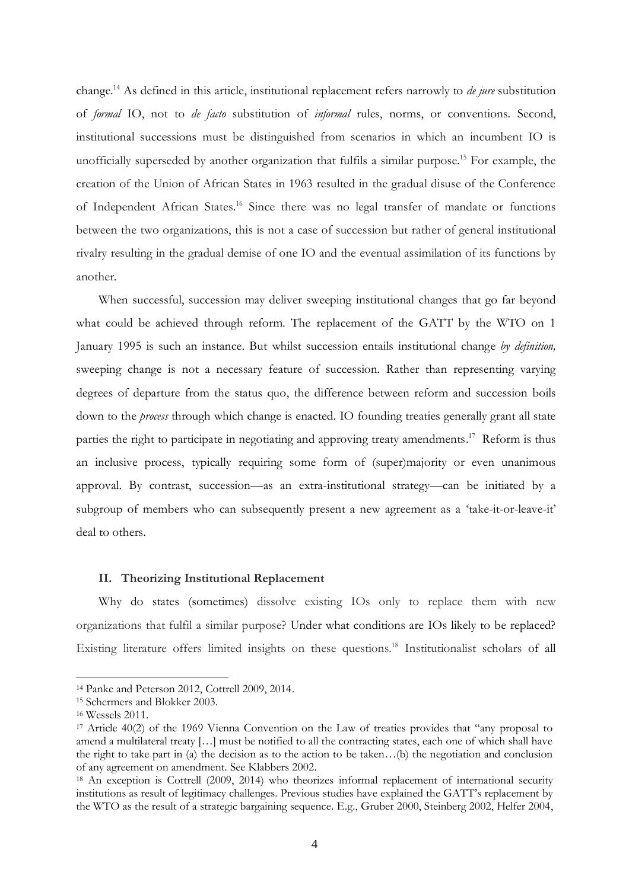change.<sup>14</sup> As defined in this article, institutional replacement refers narrowly to *de jure* substitution of *formal* IO, not to *de facto* substitution of *informal* rules, norms, or conventions. Second, institutional successions must be distinguished from scenarios in which an incumbent IO is unofficially superseded by another organization that fulfils a similar purpose.<sup>15</sup> For example, the creation of the Union of African States in 1963 resulted in the gradual disuse of the Conference of Independent African States. <sup>16</sup> Since there was no legal transfer of mandate or functions between the two organizations, this is not a case of succession but rather of general institutional rivalry resulting in the gradual demise of one IO and the eventual assimilation of its functions by another.

When successful, succession may deliver sweeping institutional changes that go far beyond what could be achieved through reform. The replacement of the GATT by the WTO on 1 January 1995 is such an instance. But whilst succession entails institutional change *by definition,* sweeping change is not a necessary feature of succession. Rather than representing varying degrees of departure from the status quo, the difference between reform and succession boils down to the *process* through which change is enacted. IO founding treaties generally grant all state parties the right to participate in negotiating and approving treaty amendments.<sup>17</sup> Reform is thus an inclusive process, typically requiring some form of (super)majority or even unanimous approval. By contrast, succession—as an extra-institutional strategy—can be initiated by a subgroup of members who can subsequently present a new agreement as a 'take-it-or-leave-it' deal to others.

#### **II. Theorizing Institutional Replacement**

Why do states (sometimes) dissolve existing IOs only to replace them with new organizations that fulfil a similar purpose? Under what conditions are IOs likely to be replaced? Existing literature offers limited insights on these questions. <sup>18</sup> Institutionalist scholars of all

<sup>14</sup> Panke and Peterson 2012, Cottrell 2009, 2014.

<sup>15</sup> Schermers and Blokker 2003.

<sup>16</sup> Wessels 2011.

<sup>17</sup> Article 40(2) of the 1969 Vienna Convention on the Law of treaties provides that "any proposal to amend a multilateral treaty […] must be notified to all the contracting states, each one of which shall have the right to take part in (a) the decision as to the action to be taken…(b) the negotiation and conclusion of any agreement on amendment. See Klabbers 2002.

<sup>&</sup>lt;sup>18</sup> An exception is Cottrell (2009, 2014) who theorizes informal replacement of international security institutions as result of legitimacy challenges. Previous studies have explained the GATT's replacement by the WTO as the result of a strategic bargaining sequence. E.g., Gruber 2000, Steinberg 2002, Helfer 2004,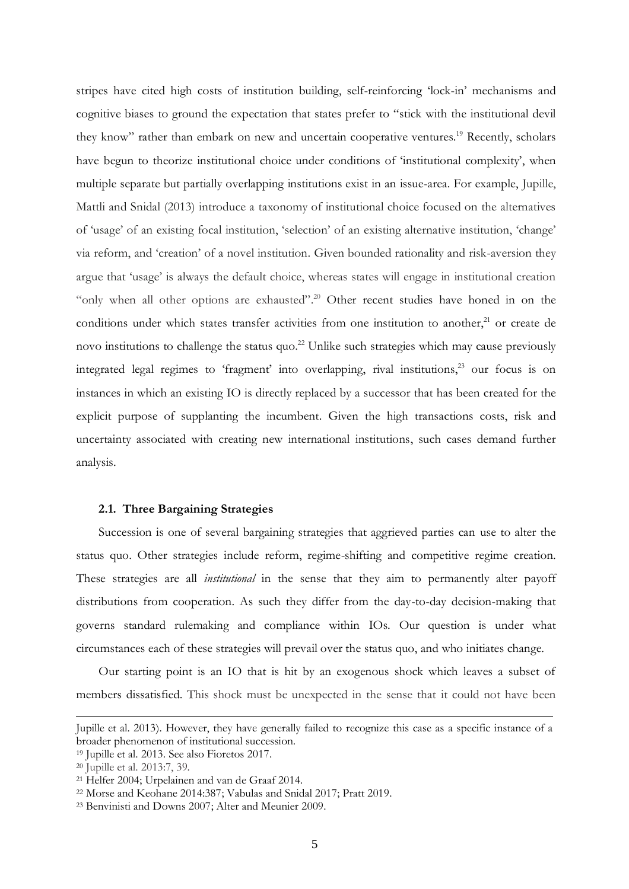stripes have cited high costs of institution building, self-reinforcing 'lock-in' mechanisms and cognitive biases to ground the expectation that states prefer to "stick with the institutional devil they know" rather than embark on new and uncertain cooperative ventures.<sup>19</sup> Recently, scholars have begun to theorize institutional choice under conditions of 'institutional complexity', when multiple separate but partially overlapping institutions exist in an issue-area. For example, Jupille, Mattli and Snidal (2013) introduce a taxonomy of institutional choice focused on the alternatives of 'usage' of an existing focal institution, 'selection' of an existing alternative institution, 'change' via reform, and 'creation' of a novel institution. Given bounded rationality and risk-aversion they argue that 'usage' is always the default choice, whereas states will engage in institutional creation "only when all other options are exhausted".<sup>20</sup> Other recent studies have honed in on the conditions under which states transfer activities from one institution to another, <sup>21</sup> or create de novo institutions to challenge the status quo.<sup>22</sup> Unlike such strategies which may cause previously integrated legal regimes to 'fragment' into overlapping, rival institutions, <sup>23</sup> our focus is on instances in which an existing IO is directly replaced by a successor that has been created for the explicit purpose of supplanting the incumbent. Given the high transactions costs, risk and uncertainty associated with creating new international institutions, such cases demand further analysis.

#### **2.1. Three Bargaining Strategies**

Succession is one of several bargaining strategies that aggrieved parties can use to alter the status quo. Other strategies include reform, regime-shifting and competitive regime creation. These strategies are all *institutional* in the sense that they aim to permanently alter payoff distributions from cooperation. As such they differ from the day-to-day decision-making that governs standard rulemaking and compliance within IOs. Our question is under what circumstances each of these strategies will prevail over the status quo, and who initiates change.

Our starting point is an IO that is hit by an exogenous shock which leaves a subset of members dissatisfied. This shock must be unexpected in the sense that it could not have been

Jupille et al. 2013). However, they have generally failed to recognize this case as a specific instance of a broader phenomenon of institutional succession.

<sup>19</sup> Jupille et al. 2013. See also Fioretos 2017.

<sup>20</sup> Jupille et al. 2013:7, 39.

<sup>21</sup> Helfer 2004; Urpelainen and van de Graaf 2014.

<sup>22</sup> Morse and Keohane 2014:387; Vabulas and Snidal 2017; Pratt 2019.

<sup>23</sup> Benvinisti and Downs 2007; Alter and Meunier 2009.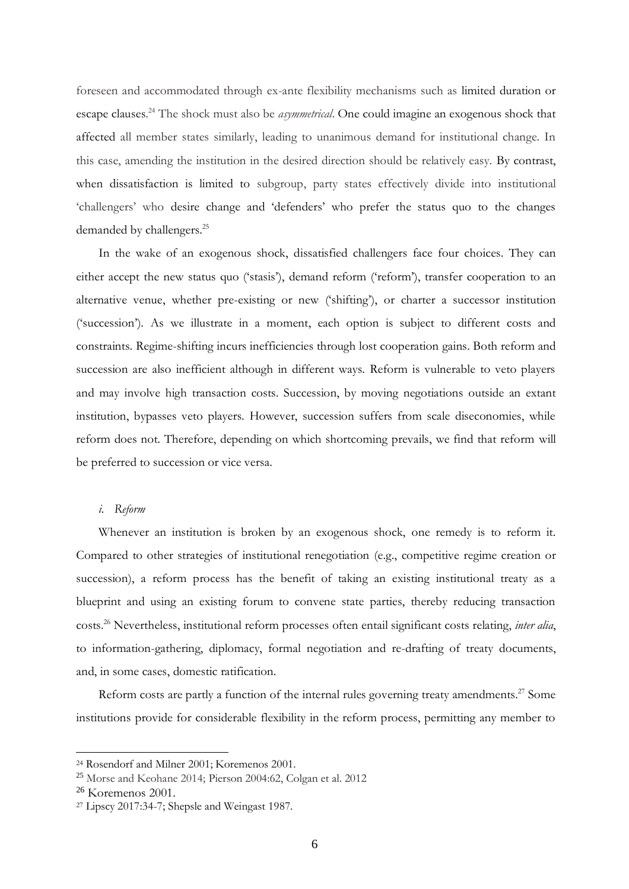foreseen and accommodated through ex-ante flexibility mechanisms such as limited duration or escape clauses. <sup>24</sup> The shock must also be *asymmetrical*. One could imagine an exogenous shock that affected all member states similarly, leading to unanimous demand for institutional change. In this case, amending the institution in the desired direction should be relatively easy. By contrast, when dissatisfaction is limited to subgroup, party states effectively divide into institutional 'challengers' who desire change and 'defenders' who prefer the status quo to the changes demanded by challengers.<sup>25</sup>

In the wake of an exogenous shock, dissatisfied challengers face four choices. They can either accept the new status quo ('stasis'), demand reform ('reform'), transfer cooperation to an alternative venue, whether pre-existing or new ('shifting'), or charter a successor institution ('succession'). As we illustrate in a moment, each option is subject to different costs and constraints. Regime-shifting incurs inefficiencies through lost cooperation gains. Both reform and succession are also inefficient although in different ways. Reform is vulnerable to veto players and may involve high transaction costs. Succession, by moving negotiations outside an extant institution, bypasses veto players. However, succession suffers from scale diseconomies, while reform does not. Therefore, depending on which shortcoming prevails, we find that reform will be preferred to succession or vice versa.

## *i. Reform*

Whenever an institution is broken by an exogenous shock, one remedy is to reform it. Compared to other strategies of institutional renegotiation (e.g., competitive regime creation or succession), a reform process has the benefit of taking an existing institutional treaty as a blueprint and using an existing forum to convene state parties, thereby reducing transaction costs. <sup>26</sup> Nevertheless, institutional reform processes often entail significant costs relating, *inter alia*, to information-gathering, diplomacy, formal negotiation and re-drafting of treaty documents, and, in some cases, domestic ratification.

Reform costs are partly a function of the internal rules governing treaty amendments.<sup>27</sup> Some institutions provide for considerable flexibility in the reform process, permitting any member to

<sup>24</sup> Rosendorf and Milner 2001; Koremenos 2001.

<sup>25</sup> Morse and Keohane 2014; Pierson 2004:62, Colgan et al. 2012

<sup>26</sup> Koremenos 2001.

<sup>27</sup> Lipscy 2017:34-7; Shepsle and Weingast 1987.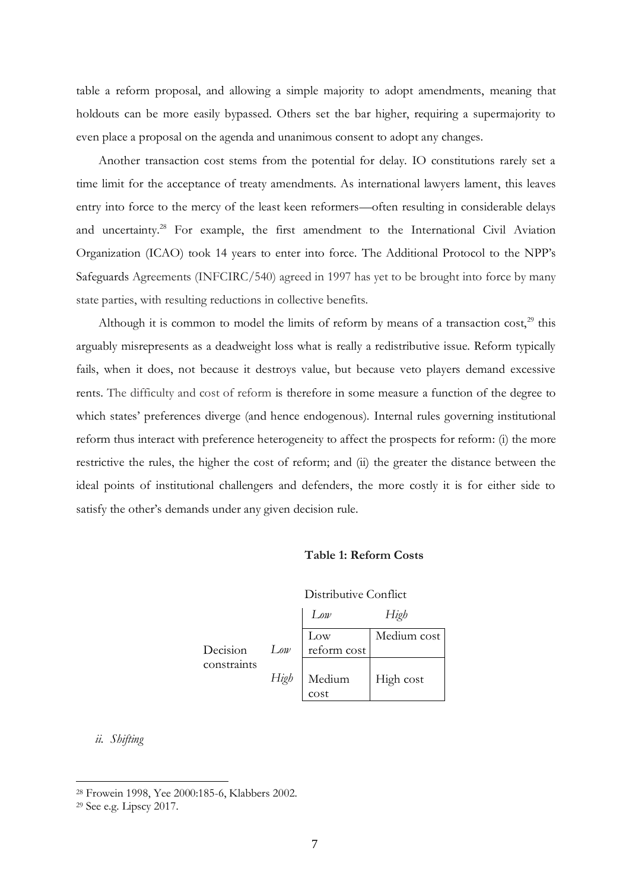table a reform proposal, and allowing a simple majority to adopt amendments, meaning that holdouts can be more easily bypassed. Others set the bar higher, requiring a supermajority to even place a proposal on the agenda and unanimous consent to adopt any changes.

Another transaction cost stems from the potential for delay. IO constitutions rarely set a time limit for the acceptance of treaty amendments. As international lawyers lament, this leaves entry into force to the mercy of the least keen reformers—often resulting in considerable delays and uncertainty.<sup>28</sup> For example, the first amendment to the International Civil Aviation Organization (ICAO) took 14 years to enter into force. The Additional Protocol to the NPP's Safeguards Agreements (INFCIRC/540) agreed in 1997 has yet to be brought into force by many state parties, with resulting reductions in collective benefits.

Although it is common to model the limits of reform by means of a transaction cost,<sup>29</sup> this arguably misrepresents as a deadweight loss what is really a redistributive issue. Reform typically fails, when it does, not because it destroys value, but because veto players demand excessive rents. The difficulty and cost of reform is therefore in some measure a function of the degree to which states' preferences diverge (and hence endogenous). Internal rules governing institutional reform thus interact with preference heterogeneity to affect the prospects for reform: (i) the more restrictive the rules, the higher the cost of reform; and (ii) the greater the distance between the ideal points of institutional challengers and defenders, the more costly it is for either side to satisfy the other's demands under any given decision rule.

## **Table 1: Reform Costs**

Distributive Conflict

Decision constraints

|      | $L$ ow      | High        |
|------|-------------|-------------|
|      | Low         | Medium cost |
| Low  | reform cost |             |
|      |             |             |
| High | Medium      | High cost   |
|      | cost        |             |

*ii. Shifting*

<sup>28</sup> Frowein 1998, Yee 2000:185-6, Klabbers 2002.

<sup>29</sup> See e.g. Lipscy 2017.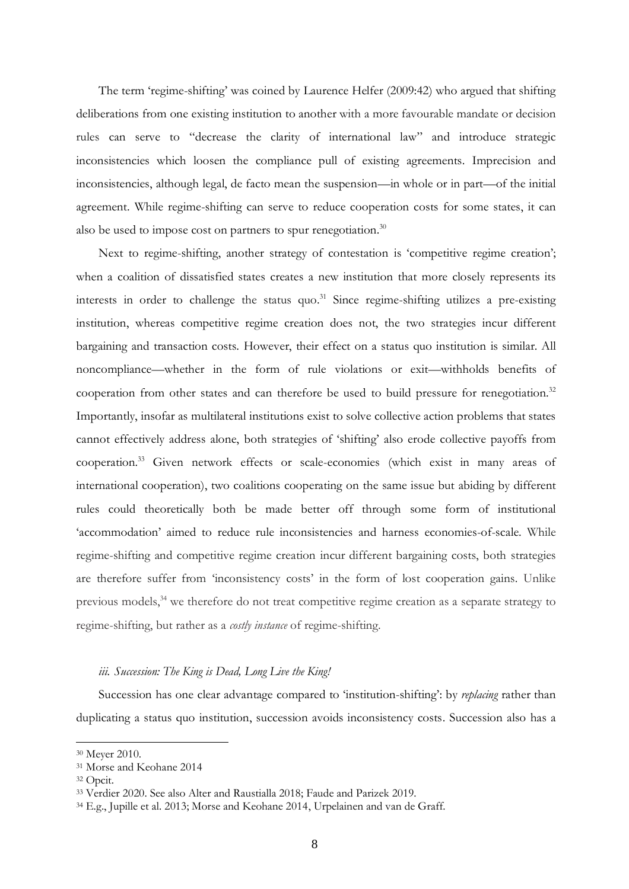The term 'regime-shifting' was coined by Laurence Helfer (2009:42) who argued that shifting deliberations from one existing institution to another with a more favourable mandate or decision rules can serve to "decrease the clarity of international law" and introduce strategic inconsistencies which loosen the compliance pull of existing agreements. Imprecision and inconsistencies, although legal, de facto mean the suspension—in whole or in part—of the initial agreement. While regime-shifting can serve to reduce cooperation costs for some states, it can also be used to impose cost on partners to spur renegotiation.<sup>30</sup>

Next to regime-shifting, another strategy of contestation is 'competitive regime creation'; when a coalition of dissatisfied states creates a new institution that more closely represents its interests in order to challenge the status quo. <sup>31</sup> Since regime-shifting utilizes a pre-existing institution, whereas competitive regime creation does not, the two strategies incur different bargaining and transaction costs. However, their effect on a status quo institution is similar. All noncompliance—whether in the form of rule violations or exit—withholds benefits of cooperation from other states and can therefore be used to build pressure for renegotiation.<sup>32</sup> Importantly, insofar as multilateral institutions exist to solve collective action problems that states cannot effectively address alone, both strategies of 'shifting' also erode collective payoffs from cooperation. <sup>33</sup> Given network effects or scale-economies (which exist in many areas of international cooperation), two coalitions cooperating on the same issue but abiding by different rules could theoretically both be made better off through some form of institutional 'accommodation' aimed to reduce rule inconsistencies and harness economies-of-scale. While regime-shifting and competitive regime creation incur different bargaining costs, both strategies are therefore suffer from 'inconsistency costs' in the form of lost cooperation gains. Unlike previous models,<sup>34</sup> we therefore do not treat competitive regime creation as a separate strategy to regime-shifting, but rather as a *costly instance* of regime-shifting.

#### *iii. Succession: The King is Dead, Long Live the King!*

Succession has one clear advantage compared to 'institution-shifting': by *replacing* rather than duplicating a status quo institution, succession avoids inconsistency costs. Succession also has a

<sup>30</sup> Meyer 2010.

<sup>31</sup> Morse and Keohane 2014

<sup>32</sup> Opcit.

<sup>33</sup> Verdier 2020. See also Alter and Raustialla 2018; Faude and Parizek 2019.

<sup>34</sup> E.g., Jupille et al. 2013; Morse and Keohane 2014, Urpelainen and van de Graff.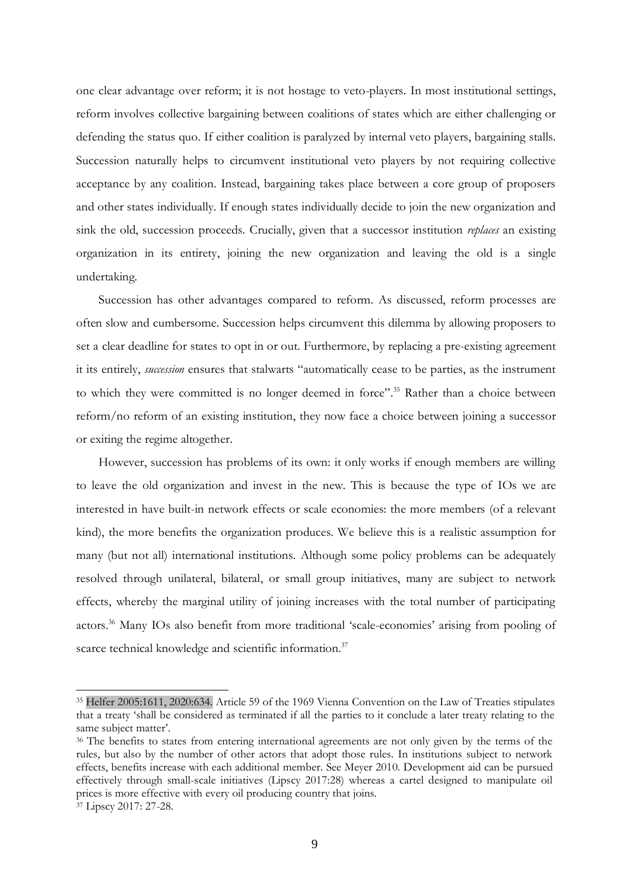one clear advantage over reform; it is not hostage to veto-players. In most institutional settings, reform involves collective bargaining between coalitions of states which are either challenging or defending the status quo. If either coalition is paralyzed by internal veto players, bargaining stalls. Succession naturally helps to circumvent institutional veto players by not requiring collective acceptance by any coalition. Instead, bargaining takes place between a core group of proposers and other states individually. If enough states individually decide to join the new organization and sink the old, succession proceeds. Crucially, given that a successor institution *replaces* an existing organization in its entirety, joining the new organization and leaving the old is a single undertaking.

Succession has other advantages compared to reform. As discussed, reform processes are often slow and cumbersome. Succession helps circumvent this dilemma by allowing proposers to set a clear deadline for states to opt in or out. Furthermore, by replacing a pre-existing agreement it its entirely, *succession* ensures that stalwarts "automatically cease to be parties, as the instrument to which they were committed is no longer deemed in force". <sup>35</sup> Rather than a choice between reform/no reform of an existing institution, they now face a choice between joining a successor or exiting the regime altogether.

However, succession has problems of its own: it only works if enough members are willing to leave the old organization and invest in the new. This is because the type of IOs we are interested in have built-in network effects or scale economies: the more members (of a relevant kind), the more benefits the organization produces. We believe this is a realistic assumption for many (but not all) international institutions. Although some policy problems can be adequately resolved through unilateral, bilateral, or small group initiatives, many are subject to network effects, whereby the marginal utility of joining increases with the total number of participating actors. <sup>36</sup> Many IOs also benefit from more traditional 'scale-economies' arising from pooling of scarce technical knowledge and scientific information.<sup>37</sup>

<sup>35</sup> Helfer 2005:1611, 2020:634. Article 59 of the 1969 Vienna Convention on the Law of Treaties stipulates that a treaty 'shall be considered as terminated if all the parties to it conclude a later treaty relating to the same subject matter'.

<sup>&</sup>lt;sup>36</sup> The benefits to states from entering international agreements are not only given by the terms of the rules, but also by the number of other actors that adopt those rules. In institutions subject to network effects, benefits increase with each additional member. See Meyer 2010. Development aid can be pursued effectively through small-scale initiatives (Lipscy 2017:28) whereas a cartel designed to manipulate oil prices is more effective with every oil producing country that joins.

<sup>&</sup>lt;sup>37</sup> Lipscy 2017: 27-28.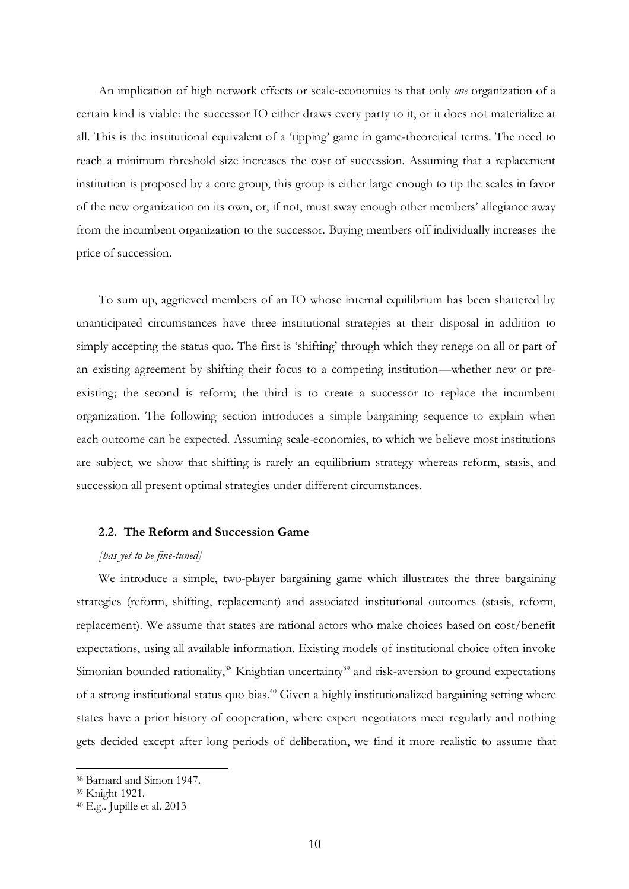An implication of high network effects or scale-economies is that only *one* organization of a certain kind is viable: the successor IO either draws every party to it, or it does not materialize at all. This is the institutional equivalent of a 'tipping' game in game-theoretical terms. The need to reach a minimum threshold size increases the cost of succession. Assuming that a replacement institution is proposed by a core group, this group is either large enough to tip the scales in favor of the new organization on its own, or, if not, must sway enough other members' allegiance away from the incumbent organization to the successor. Buying members off individually increases the price of succession.

To sum up, aggrieved members of an IO whose internal equilibrium has been shattered by unanticipated circumstances have three institutional strategies at their disposal in addition to simply accepting the status quo. The first is 'shifting' through which they renege on all or part of an existing agreement by shifting their focus to a competing institution—whether new or preexisting; the second is reform; the third is to create a successor to replace the incumbent organization. The following section introduces a simple bargaining sequence to explain when each outcome can be expected. Assuming scale-economies, to which we believe most institutions are subject, we show that shifting is rarely an equilibrium strategy whereas reform, stasis, and succession all present optimal strategies under different circumstances.

## **2.2. The Reform and Succession Game**

## *[has yet to be fine-tuned]*

We introduce a simple, two-player bargaining game which illustrates the three bargaining strategies (reform, shifting, replacement) and associated institutional outcomes (stasis, reform, replacement). We assume that states are rational actors who make choices based on cost/benefit expectations, using all available information. Existing models of institutional choice often invoke Simonian bounded rationality,<sup>38</sup> Knightian uncertainty<sup>39</sup> and risk-aversion to ground expectations of a strong institutional status quo bias.<sup>40</sup> Given a highly institutionalized bargaining setting where states have a prior history of cooperation, where expert negotiators meet regularly and nothing gets decided except after long periods of deliberation, we find it more realistic to assume that

<sup>38</sup> Barnard and Simon 1947.

<sup>39</sup> Knight 1921.

<sup>40</sup> E.g.. Jupille et al. 2013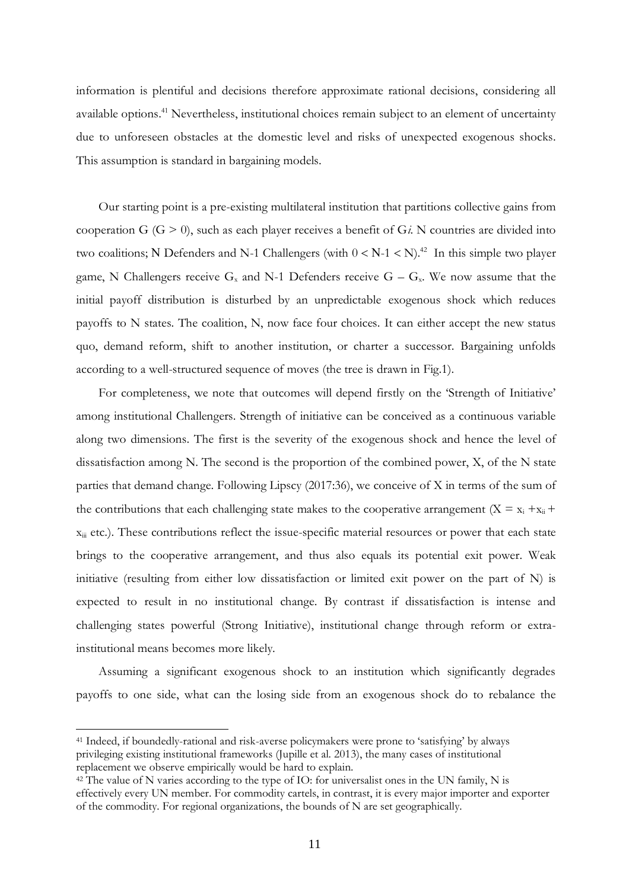information is plentiful and decisions therefore approximate rational decisions, considering all available options.<sup>41</sup> Nevertheless, institutional choices remain subject to an element of uncertainty due to unforeseen obstacles at the domestic level and risks of unexpected exogenous shocks. This assumption is standard in bargaining models.

Our starting point is a pre-existing multilateral institution that partitions collective gains from cooperation G (G > 0), such as each player receives a benefit of G*i*. N countries are divided into two coalitions; N Defenders and N-1 Challengers (with  $0 < N-1 < N$ ).<sup>42</sup> In this simple two player game, N Challengers receive  $G_x$  and N-1 Defenders receive  $G - G_x$ . We now assume that the initial payoff distribution is disturbed by an unpredictable exogenous shock which reduces payoffs to N states. The coalition, N, now face four choices. It can either accept the new status quo, demand reform, shift to another institution, or charter a successor. Bargaining unfolds according to a well-structured sequence of moves (the tree is drawn in Fig.1).

For completeness, we note that outcomes will depend firstly on the 'Strength of Initiative' among institutional Challengers. Strength of initiative can be conceived as a continuous variable along two dimensions. The first is the severity of the exogenous shock and hence the level of dissatisfaction among N. The second is the proportion of the combined power, X, of the N state parties that demand change. Following Lipscy (2017:36), we conceive of X in terms of the sum of the contributions that each challenging state makes to the cooperative arrangement ( $X = x_i + x_{ii} +$  $x_{\text{iii}}$  etc.). These contributions reflect the issue-specific material resources or power that each state brings to the cooperative arrangement, and thus also equals its potential exit power. Weak initiative (resulting from either low dissatisfaction or limited exit power on the part of N) is expected to result in no institutional change. By contrast if dissatisfaction is intense and challenging states powerful (Strong Initiative), institutional change through reform or extrainstitutional means becomes more likely.

Assuming a significant exogenous shock to an institution which significantly degrades payoffs to one side, what can the losing side from an exogenous shock do to rebalance the

<sup>41</sup> Indeed, if boundedly-rational and risk-averse policymakers were prone to 'satisfying' by always privileging existing institutional frameworks (Jupille et al. 2013), the many cases of institutional replacement we observe empirically would be hard to explain.

 $42$  The value of N varies according to the type of IO: for universalist ones in the UN family, N is effectively every UN member. For commodity cartels, in contrast, it is every major importer and exporter of the commodity. For regional organizations, the bounds of N are set geographically.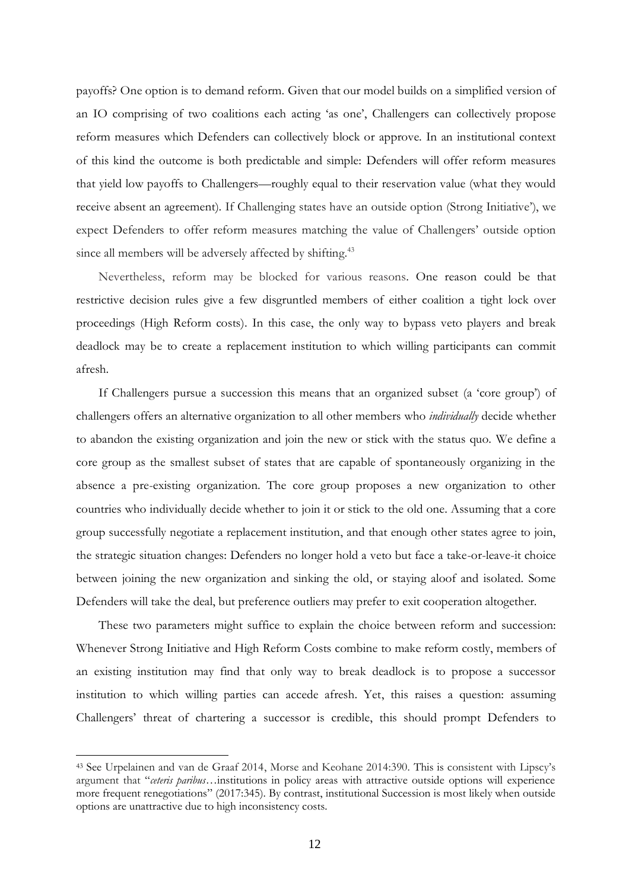payoffs? One option is to demand reform. Given that our model builds on a simplified version of an IO comprising of two coalitions each acting 'as one', Challengers can collectively propose reform measures which Defenders can collectively block or approve. In an institutional context of this kind the outcome is both predictable and simple: Defenders will offer reform measures that yield low payoffs to Challengers—roughly equal to their reservation value (what they would receive absent an agreement). If Challenging states have an outside option (Strong Initiative'), we expect Defenders to offer reform measures matching the value of Challengers' outside option since all members will be adversely affected by shifting.<sup>43</sup>

Nevertheless, reform may be blocked for various reasons. One reason could be that restrictive decision rules give a few disgruntled members of either coalition a tight lock over proceedings (High Reform costs). In this case, the only way to bypass veto players and break deadlock may be to create a replacement institution to which willing participants can commit afresh.

If Challengers pursue a succession this means that an organized subset (a 'core group') of challengers offers an alternative organization to all other members who *individually* decide whether to abandon the existing organization and join the new or stick with the status quo. We define a core group as the smallest subset of states that are capable of spontaneously organizing in the absence a pre-existing organization. The core group proposes a new organization to other countries who individually decide whether to join it or stick to the old one. Assuming that a core group successfully negotiate a replacement institution, and that enough other states agree to join, the strategic situation changes: Defenders no longer hold a veto but face a take-or-leave-it choice between joining the new organization and sinking the old, or staying aloof and isolated. Some Defenders will take the deal, but preference outliers may prefer to exit cooperation altogether.

These two parameters might suffice to explain the choice between reform and succession: Whenever Strong Initiative and High Reform Costs combine to make reform costly, members of an existing institution may find that only way to break deadlock is to propose a successor institution to which willing parties can accede afresh. Yet, this raises a question: assuming Challengers' threat of chartering a successor is credible, this should prompt Defenders to

<sup>43</sup> See Urpelainen and van de Graaf 2014, Morse and Keohane 2014:390. This is consistent with Lipscy's argument that "*ceteris paribus*…institutions in policy areas with attractive outside options will experience more frequent renegotiations" (2017:345). By contrast, institutional Succession is most likely when outside options are unattractive due to high inconsistency costs.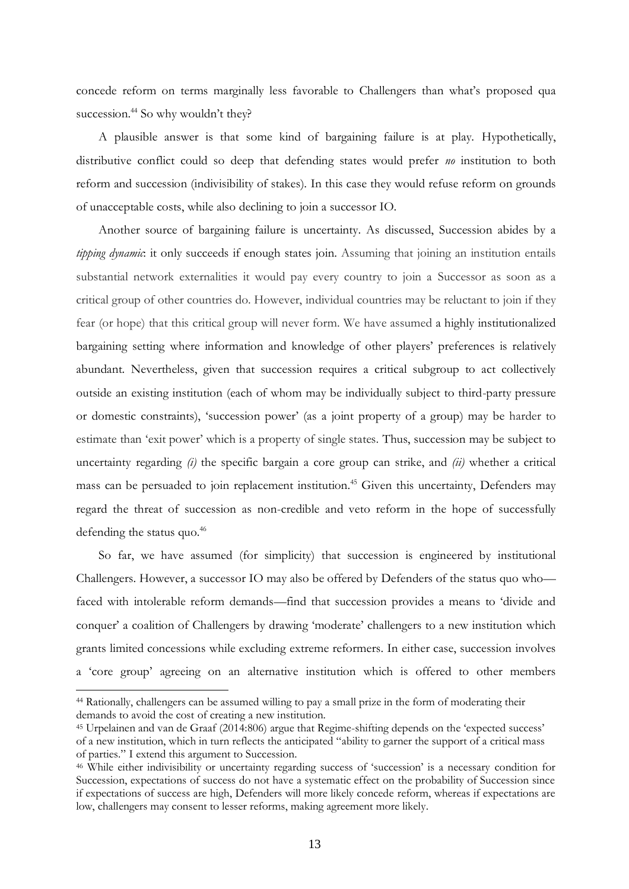concede reform on terms marginally less favorable to Challengers than what's proposed qua succession.<sup>44</sup> So why wouldn't they?

A plausible answer is that some kind of bargaining failure is at play. Hypothetically, distributive conflict could so deep that defending states would prefer *no* institution to both reform and succession (indivisibility of stakes). In this case they would refuse reform on grounds of unacceptable costs, while also declining to join a successor IO.

Another source of bargaining failure is uncertainty. As discussed, Succession abides by a *tipping dynamic*: it only succeeds if enough states join. Assuming that joining an institution entails substantial network externalities it would pay every country to join a Successor as soon as a critical group of other countries do. However, individual countries may be reluctant to join if they fear (or hope) that this critical group will never form. We have assumed a highly institutionalized bargaining setting where information and knowledge of other players' preferences is relatively abundant. Nevertheless, given that succession requires a critical subgroup to act collectively outside an existing institution (each of whom may be individually subject to third-party pressure or domestic constraints), 'succession power' (as a joint property of a group) may be harder to estimate than 'exit power' which is a property of single states. Thus, succession may be subject to uncertainty regarding *(i)* the specific bargain a core group can strike, and *(ii)* whether a critical mass can be persuaded to join replacement institution.<sup>45</sup> Given this uncertainty, Defenders may regard the threat of succession as non-credible and veto reform in the hope of successfully defending the status quo.<sup>46</sup>

So far, we have assumed (for simplicity) that succession is engineered by institutional Challengers. However, a successor IO may also be offered by Defenders of the status quo who faced with intolerable reform demands—find that succession provides a means to 'divide and conquer' a coalition of Challengers by drawing 'moderate' challengers to a new institution which grants limited concessions while excluding extreme reformers. In either case, succession involves a 'core group' agreeing on an alternative institution which is offered to other members

<sup>44</sup> Rationally, challengers can be assumed willing to pay a small prize in the form of moderating their demands to avoid the cost of creating a new institution.

<sup>45</sup> Urpelainen and van de Graaf (2014:806) argue that Regime-shifting depends on the 'expected success' of a new institution, which in turn reflects the anticipated "ability to garner the support of a critical mass of parties." I extend this argument to Succession.

<sup>46</sup> While either indivisibility or uncertainty regarding success of 'succession' is a necessary condition for Succession, expectations of success do not have a systematic effect on the probability of Succession since if expectations of success are high, Defenders will more likely concede reform, whereas if expectations are low, challengers may consent to lesser reforms, making agreement more likely.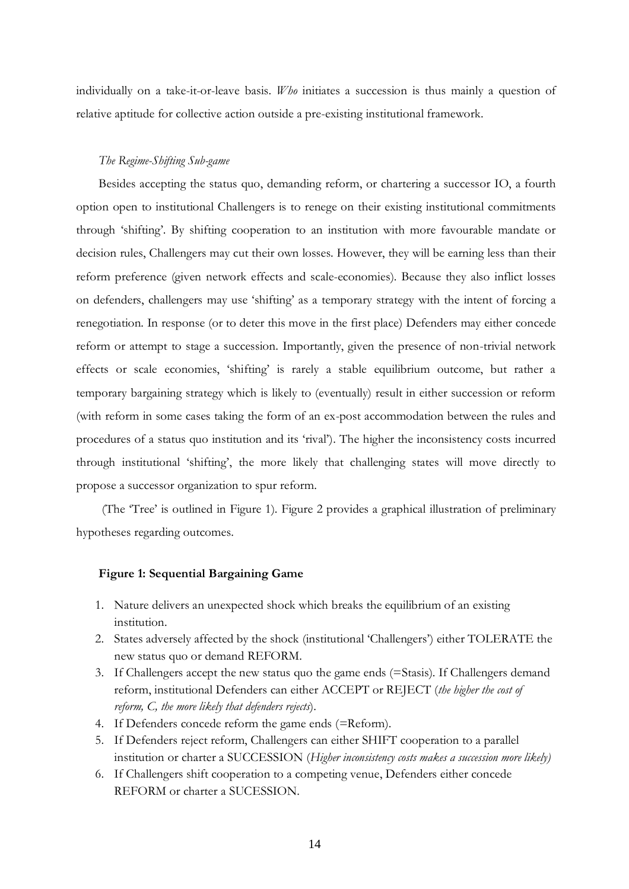individually on a take-it-or-leave basis. *Who* initiates a succession is thus mainly a question of relative aptitude for collective action outside a pre-existing institutional framework.

## *The Regime-Shifting Sub-game*

Besides accepting the status quo, demanding reform, or chartering a successor IO, a fourth option open to institutional Challengers is to renege on their existing institutional commitments through 'shifting'. By shifting cooperation to an institution with more favourable mandate or decision rules, Challengers may cut their own losses. However, they will be earning less than their reform preference (given network effects and scale-economies). Because they also inflict losses on defenders, challengers may use 'shifting' as a temporary strategy with the intent of forcing a renegotiation. In response (or to deter this move in the first place) Defenders may either concede reform or attempt to stage a succession. Importantly, given the presence of non-trivial network effects or scale economies, 'shifting' is rarely a stable equilibrium outcome, but rather a temporary bargaining strategy which is likely to (eventually) result in either succession or reform (with reform in some cases taking the form of an ex-post accommodation between the rules and procedures of a status quo institution and its 'rival'). The higher the inconsistency costs incurred through institutional 'shifting', the more likely that challenging states will move directly to propose a successor organization to spur reform.

(The 'Tree' is outlined in Figure 1). Figure 2 provides a graphical illustration of preliminary hypotheses regarding outcomes.

## **Figure 1: Sequential Bargaining Game**

- 1. Nature delivers an unexpected shock which breaks the equilibrium of an existing institution.
- 2. States adversely affected by the shock (institutional 'Challengers') either TOLERATE the new status quo or demand REFORM.
- 3. If Challengers accept the new status quo the game ends (=Stasis). If Challengers demand reform, institutional Defenders can either ACCEPT or REJECT (*the higher the cost of reform, C, the more likely that defenders rejects*).
- 4. If Defenders concede reform the game ends (*=*Reform).
- 5. If Defenders reject reform, Challengers can either SHIFT cooperation to a parallel institution or charter a SUCCESSION (*Higher inconsistency costs makes a succession more likely)*
- 6. If Challengers shift cooperation to a competing venue, Defenders either concede REFORM or charter a SUCESSION.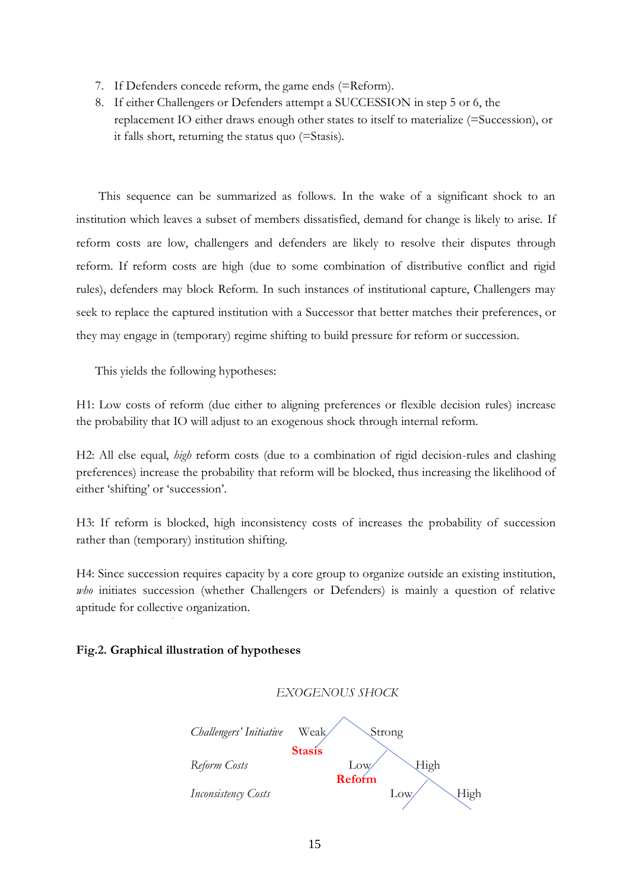- 7. If Defenders concede reform, the game ends (=Reform).
- 8. If either Challengers or Defenders attempt a SUCCESSION in step 5 or 6, the replacement IO either draws enough other states to itself to materialize (=Succession), or it falls short, returning the status quo (=Stasis).

This sequence can be summarized as follows. In the wake of a significant shock to an institution which leaves a subset of members dissatisfied, demand for change is likely to arise. If reform costs are low, challengers and defenders are likely to resolve their disputes through reform. If reform costs are high (due to some combination of distributive conflict and rigid rules), defenders may block Reform. In such instances of institutional capture, Challengers may seek to replace the captured institution with a Successor that better matches their preferences, or they may engage in (temporary) regime shifting to build pressure for reform or succession.

This yields the following hypotheses:

H1: Low costs of reform (due either to aligning preferences or flexible decision rules) increase the probability that IO will adjust to an exogenous shock through internal reform.

H2: All else equal, *high* reform costs (due to a combination of rigid decision-rules and clashing preferences) increase the probability that reform will be blocked, thus increasing the likelihood of either 'shifting' or 'succession'.

H3: If reform is blocked, high inconsistency costs of increases the probability of succession rather than (temporary) institution shifting.

H4: Since succession requires capacity by a core group to organize outside an existing institution, *who* initiates succession (whether Challengers or Defenders) is mainly a question of relative aptitude for collective organization.

## **Fig.2. Graphical illustration of hypotheses**

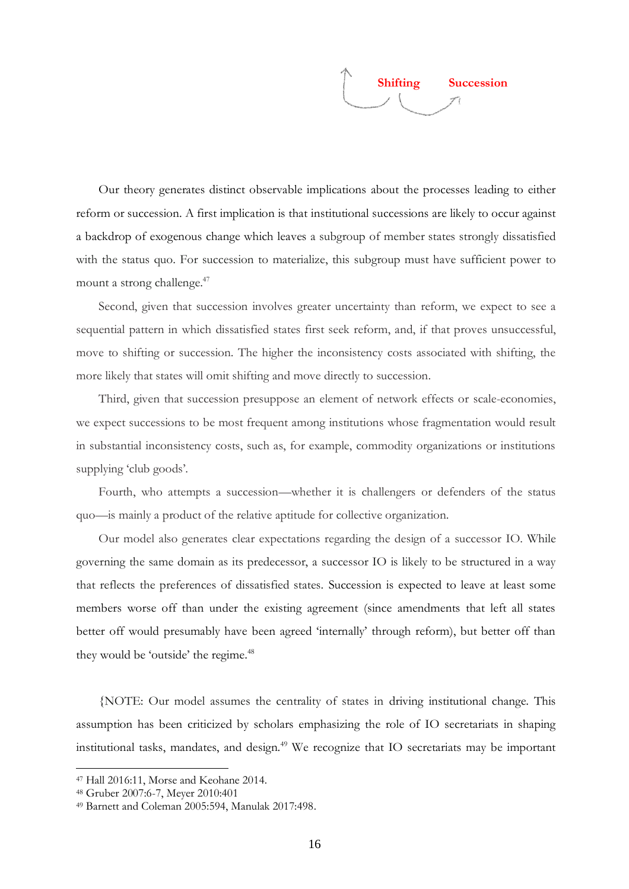

Our theory generates distinct observable implications about the processes leading to either reform or succession. A first implication is that institutional successions are likely to occur against a backdrop of exogenous change which leaves a subgroup of member states strongly dissatisfied with the status quo. For succession to materialize, this subgroup must have sufficient power to mount a strong challenge. 47

Second, given that succession involves greater uncertainty than reform, we expect to see a sequential pattern in which dissatisfied states first seek reform, and, if that proves unsuccessful, move to shifting or succession. The higher the inconsistency costs associated with shifting, the more likely that states will omit shifting and move directly to succession.

Third, given that succession presuppose an element of network effects or scale-economies, we expect successions to be most frequent among institutions whose fragmentation would result in substantial inconsistency costs, such as, for example, commodity organizations or institutions supplying 'club goods'.

Fourth, who attempts a succession—whether it is challengers or defenders of the status quo—is mainly a product of the relative aptitude for collective organization.

Our model also generates clear expectations regarding the design of a successor IO. While governing the same domain as its predecessor, a successor IO is likely to be structured in a way that reflects the preferences of dissatisfied states. Succession is expected to leave at least some members worse off than under the existing agreement (since amendments that left all states better off would presumably have been agreed 'internally' through reform), but better off than they would be 'outside' the regime.<sup>48</sup>

{NOTE: Our model assumes the centrality of states in driving institutional change. This assumption has been criticized by scholars emphasizing the role of IO secretariats in shaping institutional tasks, mandates, and design.<sup>49</sup> We recognize that IO secretariats may be important

<sup>47</sup> Hall 2016:11, Morse and Keohane 2014.

<sup>48</sup> Gruber 2007:6-7, Meyer 2010:401

<sup>49</sup> Barnett and Coleman 2005:594, Manulak 2017:498.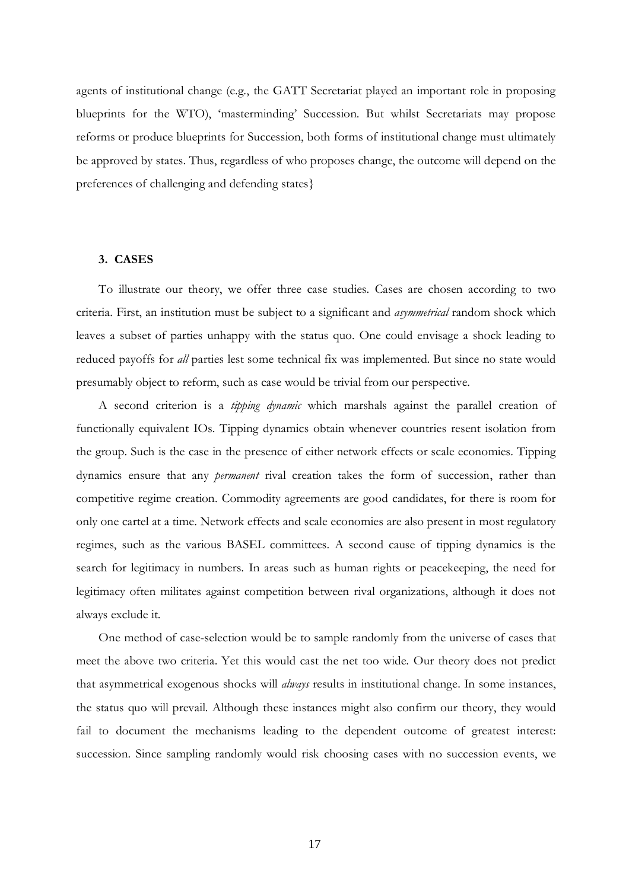agents of institutional change (e.g., the GATT Secretariat played an important role in proposing blueprints for the WTO), 'masterminding' Succession. But whilst Secretariats may propose reforms or produce blueprints for Succession, both forms of institutional change must ultimately be approved by states. Thus, regardless of who proposes change, the outcome will depend on the preferences of challenging and defending states}

## **3. CASES**

To illustrate our theory, we offer three case studies. Cases are chosen according to two criteria. First, an institution must be subject to a significant and *asymmetrical* random shock which leaves a subset of parties unhappy with the status quo. One could envisage a shock leading to reduced payoffs for *all* parties lest some technical fix was implemented. But since no state would presumably object to reform, such as case would be trivial from our perspective.

A second criterion is a *tipping dynamic* which marshals against the parallel creation of functionally equivalent IOs. Tipping dynamics obtain whenever countries resent isolation from the group. Such is the case in the presence of either network effects or scale economies. Tipping dynamics ensure that any *permanent* rival creation takes the form of succession, rather than competitive regime creation. Commodity agreements are good candidates, for there is room for only one cartel at a time. Network effects and scale economies are also present in most regulatory regimes, such as the various BASEL committees. A second cause of tipping dynamics is the search for legitimacy in numbers. In areas such as human rights or peacekeeping, the need for legitimacy often militates against competition between rival organizations, although it does not always exclude it.

One method of case-selection would be to sample randomly from the universe of cases that meet the above two criteria. Yet this would cast the net too wide. Our theory does not predict that asymmetrical exogenous shocks will *always* results in institutional change. In some instances, the status quo will prevail. Although these instances might also confirm our theory, they would fail to document the mechanisms leading to the dependent outcome of greatest interest: succession. Since sampling randomly would risk choosing cases with no succession events, we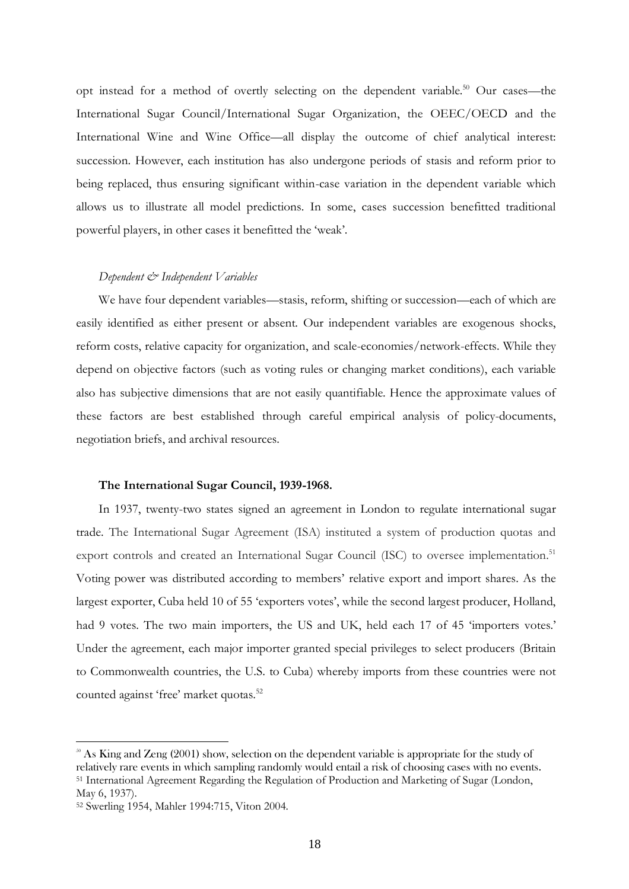opt instead for a method of overtly selecting on the dependent variable.<sup>50</sup> Our cases—the International Sugar Council/International Sugar Organization, the OEEC/OECD and the International Wine and Wine Office—all display the outcome of chief analytical interest: succession. However, each institution has also undergone periods of stasis and reform prior to being replaced, thus ensuring significant within-case variation in the dependent variable which allows us to illustrate all model predictions. In some, cases succession benefitted traditional powerful players, in other cases it benefitted the 'weak'.

## *Dependent & Independent Variables*

We have four dependent variables—stasis, reform, shifting or succession—each of which are easily identified as either present or absent. Our independent variables are exogenous shocks, reform costs, relative capacity for organization, and scale-economies/network-effects. While they depend on objective factors (such as voting rules or changing market conditions), each variable also has subjective dimensions that are not easily quantifiable. Hence the approximate values of these factors are best established through careful empirical analysis of policy-documents, negotiation briefs, and archival resources.

#### **The International Sugar Council, 1939-1968.**

In 1937, twenty-two states signed an agreement in London to regulate international sugar trade. The International Sugar Agreement (ISA) instituted a system of production quotas and export controls and created an International Sugar Council (ISC) to oversee implementation.<sup>51</sup> Voting power was distributed according to members' relative export and import shares. As the largest exporter, Cuba held 10 of 55 'exporters votes', while the second largest producer, Holland, had 9 votes. The two main importers, the US and UK, held each 17 of 45 'importers votes.' Under the agreement, each major importer granted special privileges to select producers (Britain to Commonwealth countries, the U.S. to Cuba) whereby imports from these countries were not counted against 'free' market quotas.<sup>52</sup>

<sup>&</sup>lt;sup>50</sup> As King and Zeng (2001) show, selection on the dependent variable is appropriate for the study of relatively rare events in which sampling randomly would entail a risk of choosing cases with no events. <sup>51</sup> International Agreement Regarding the Regulation of Production and Marketing of Sugar (London, May 6, 1937).

<sup>52</sup> Swerling 1954, Mahler 1994:715, Viton 2004.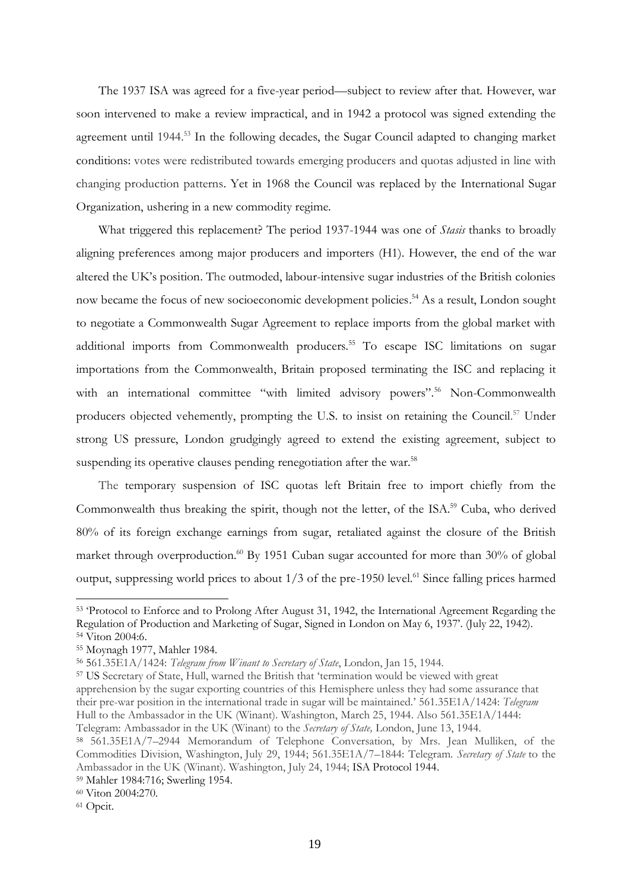The 1937 ISA was agreed for a five-year period—subject to review after that. However, war soon intervened to make a review impractical, and in 1942 a protocol was signed extending the agreement until 1944.<sup>53</sup> In the following decades, the Sugar Council adapted to changing market conditions: votes were redistributed towards emerging producers and quotas adjusted in line with changing production patterns. Yet in 1968 the Council was replaced by the International Sugar Organization, ushering in a new commodity regime.

What triggered this replacement? The period 1937-1944 was one of *Stasis* thanks to broadly aligning preferences among major producers and importers (H1). However, the end of the war altered the UK's position. The outmoded, labour-intensive sugar industries of the British colonies now became the focus of new socioeconomic development policies. <sup>54</sup> As a result, London sought to negotiate a Commonwealth Sugar Agreement to replace imports from the global market with additional imports from Commonwealth producers. <sup>55</sup> To escape ISC limitations on sugar importations from the Commonwealth, Britain proposed terminating the ISC and replacing it with an international committee "with limited advisory powers".<sup>56</sup> Non-Commonwealth producers objected vehemently, prompting the U.S. to insist on retaining the Council.<sup>57</sup> Under strong US pressure, London grudgingly agreed to extend the existing agreement, subject to suspending its operative clauses pending renegotiation after the war.<sup>58</sup>

The temporary suspension of ISC quotas left Britain free to import chiefly from the Commonwealth thus breaking the spirit, though not the letter, of the ISA.<sup>59</sup> Cuba, who derived 80% of its foreign exchange earnings from sugar, retaliated against the closure of the British market through overproduction.<sup>60</sup> By 1951 Cuban sugar accounted for more than 30% of global output, suppressing world prices to about  $1/3$  of the pre-1950 level.<sup>61</sup> Since falling prices harmed

<sup>53</sup> 'Protocol to Enforce and to Prolong After August 31, 1942, the International Agreement Regarding the Regulation of Production and Marketing of Sugar, Signed in London on May 6, 1937'. (July 22, 1942). <sup>54</sup> Viton 2004:6.

<sup>55</sup> Moynagh 1977, Mahler 1984.

<sup>56</sup> 561.35E1A/1424: *Telegram from Winant to Secretary of State*, London, Jan 15, 1944.

<sup>57</sup> US Secretary of State, Hull, warned the British that 'termination would be viewed with great apprehension by the sugar exporting countries of this Hemisphere unless they had some assurance that their pre-war position in the international trade in sugar will be maintained.' 561.35E1A/1424: *Telegram*  Hull to the Ambassador in the UK (Winant). Washington, March 25, 1944. Also 561.35E1A/1444: Telegram: Ambassador in the UK (Winant) to the *Secretary of State,* London, June 13, 1944.

<sup>58</sup> 561.35E1A/7–2944 Memorandum of Telephone Conversation, by Mrs. Jean Mulliken, of the Commodities Division, Washington, July 29, 1944; 561.35E1A/7–1844: Telegram. *Secretary of State* to the Ambassador in the UK (Winant). Washington, July 24, 1944; ISA Protocol 1944.

<sup>59</sup> Mahler 1984:716; Swerling 1954.

<sup>60</sup> Viton 2004:270.

<sup>61</sup> Opcit.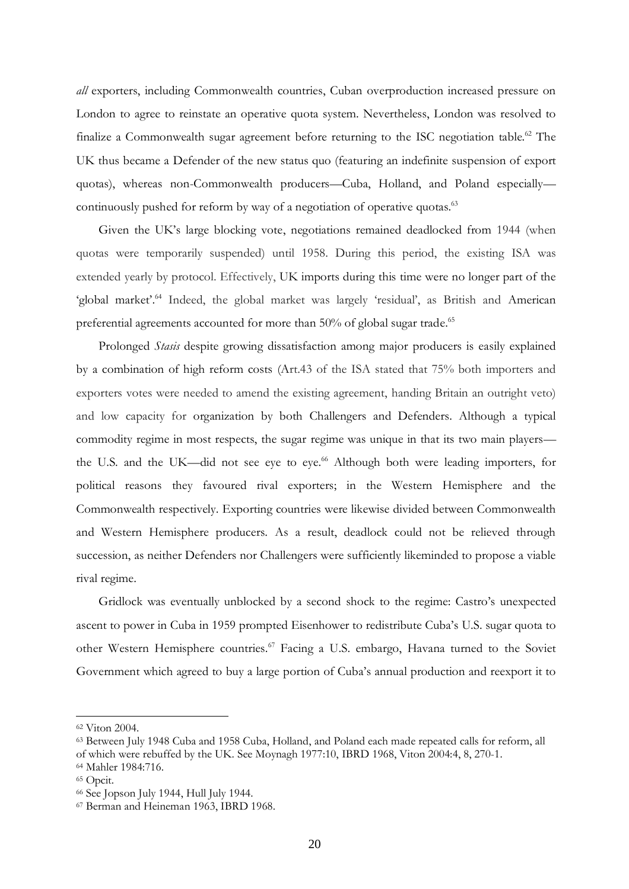*all* exporters, including Commonwealth countries, Cuban overproduction increased pressure on London to agree to reinstate an operative quota system. Nevertheless, London was resolved to finalize a Commonwealth sugar agreement before returning to the ISC negotiation table.<sup>62</sup> The UK thus became a Defender of the new status quo (featuring an indefinite suspension of export quotas), whereas non-Commonwealth producers—Cuba, Holland, and Poland especially continuously pushed for reform by way of a negotiation of operative quotas.<sup>63</sup>

Given the UK's large blocking vote, negotiations remained deadlocked from 1944 (when quotas were temporarily suspended) until 1958. During this period, the existing ISA was extended yearly by protocol. Effectively, UK imports during this time were no longer part of the 'global market'.<sup>64</sup> Indeed, the global market was largely 'residual', as British and American preferential agreements accounted for more than 50% of global sugar trade.<sup>65</sup>

Prolonged *Stasis* despite growing dissatisfaction among major producers is easily explained by a combination of high reform costs (Art.43 of the ISA stated that 75% both importers and exporters votes were needed to amend the existing agreement, handing Britain an outright veto) and low capacity for organization by both Challengers and Defenders. Although a typical commodity regime in most respects, the sugar regime was unique in that its two main players the U.S. and the UK—did not see eye to eye.<sup>66</sup> Although both were leading importers, for political reasons they favoured rival exporters; in the Western Hemisphere and the Commonwealth respectively. Exporting countries were likewise divided between Commonwealth and Western Hemisphere producers. As a result, deadlock could not be relieved through succession, as neither Defenders nor Challengers were sufficiently likeminded to propose a viable rival regime.

Gridlock was eventually unblocked by a second shock to the regime: Castro's unexpected ascent to power in Cuba in 1959 prompted Eisenhower to redistribute Cuba's U.S. sugar quota to other Western Hemisphere countries.<sup>67</sup> Facing a U.S. embargo, Havana turned to the Soviet Government which agreed to buy a large portion of Cuba's annual production and reexport it to

<sup>62</sup> Viton 2004.

<sup>63</sup> Between July 1948 Cuba and 1958 Cuba, Holland, and Poland each made repeated calls for reform, all

of which were rebuffed by the UK. See Moynagh 1977:10, IBRD 1968, Viton 2004:4, 8, 270-1.

<sup>64</sup> Mahler 1984:716.

<sup>65</sup> Opcit.

<sup>66</sup> See Jopson July 1944, Hull July 1944.

<sup>67</sup> Berman and Heineman 1963, IBRD 1968.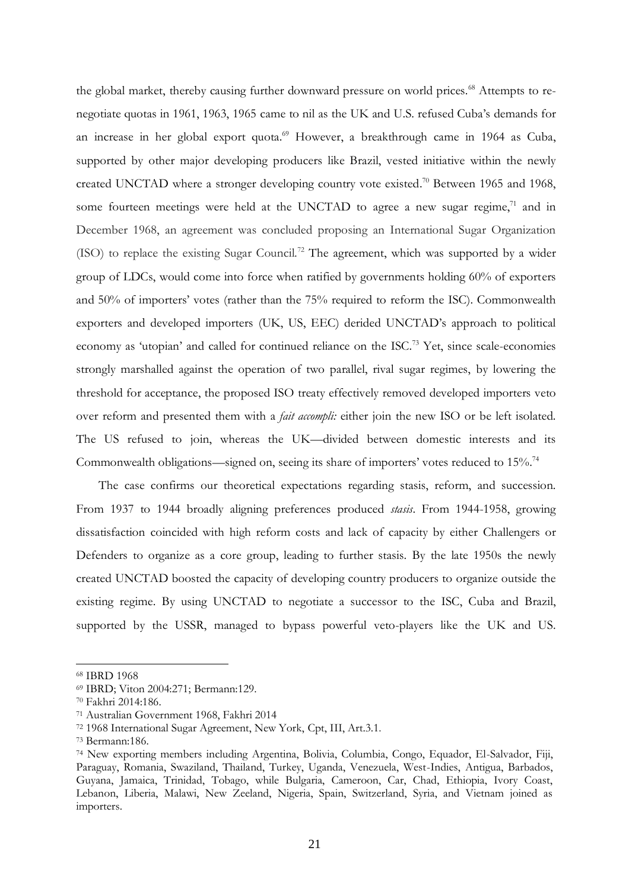the global market, thereby causing further downward pressure on world prices.<sup>68</sup> Attempts to renegotiate quotas in 1961, 1963, 1965 came to nil as the UK and U.S. refused Cuba's demands for an increase in her global export quota.<sup>69</sup> However, a breakthrough came in 1964 as Cuba, supported by other major developing producers like Brazil, vested initiative within the newly created UNCTAD where a stronger developing country vote existed.<sup>70</sup> Between 1965 and 1968, some fourteen meetings were held at the UNCTAD to agree a new sugar regime, $71$  and in December 1968, an agreement was concluded proposing an International Sugar Organization (ISO) to replace the existing Sugar Council.<sup>72</sup> The agreement, which was supported by a wider group of LDCs, would come into force when ratified by governments holding 60% of exporters and 50% of importers' votes (rather than the 75% required to reform the ISC). Commonwealth exporters and developed importers (UK, US, EEC) derided UNCTAD's approach to political economy as 'utopian' and called for continued reliance on the ISC.<sup>73</sup> Yet, since scale-economies strongly marshalled against the operation of two parallel, rival sugar regimes, by lowering the threshold for acceptance, the proposed ISO treaty effectively removed developed importers veto over reform and presented them with a *fait accompli:* either join the new ISO or be left isolated. The US refused to join, whereas the UK—divided between domestic interests and its Commonwealth obligations—signed on, seeing its share of importers' votes reduced to 15%.<sup>74</sup>

The case confirms our theoretical expectations regarding stasis, reform, and succession. From 1937 to 1944 broadly aligning preferences produced *stasis*. From 1944-1958, growing dissatisfaction coincided with high reform costs and lack of capacity by either Challengers or Defenders to organize as a core group, leading to further stasis. By the late 1950s the newly created UNCTAD boosted the capacity of developing country producers to organize outside the existing regime. By using UNCTAD to negotiate a successor to the ISC, Cuba and Brazil, supported by the USSR, managed to bypass powerful veto-players like the UK and US.

<sup>68</sup> IBRD 1968

<sup>69</sup> IBRD; Viton 2004:271; Bermann:129.

<sup>70</sup> Fakhri 2014:186.

<sup>71</sup> Australian Government 1968, Fakhri 2014

<sup>72</sup> 1968 International Sugar Agreement, New York, Cpt, III, Art.3.1.

<sup>73</sup> Bermann:186.

<sup>74</sup> New exporting members including Argentina, Bolivia, Columbia, Congo, Equador, El-Salvador, Fiji, Paraguay, Romania, Swaziland, Thailand, Turkey, Uganda, Venezuela, West-Indies, Antigua, Barbados, Guyana, Jamaica, Trinidad, Tobago, while Bulgaria, Cameroon, Car, Chad, Ethiopia, Ivory Coast, Lebanon, Liberia, Malawi, New Zeeland, Nigeria, Spain, Switzerland, Syria, and Vietnam joined as importers.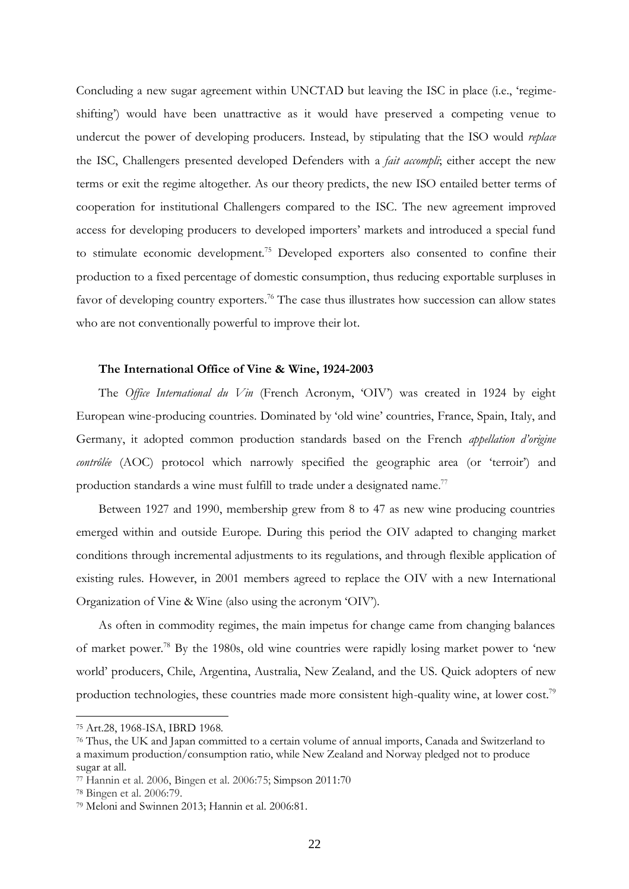Concluding a new sugar agreement within UNCTAD but leaving the ISC in place (i.e., 'regimeshifting') would have been unattractive as it would have preserved a competing venue to undercut the power of developing producers. Instead, by stipulating that the ISO would *replace* the ISC, Challengers presented developed Defenders with a *fait accompli*; either accept the new terms or exit the regime altogether. As our theory predicts, the new ISO entailed better terms of cooperation for institutional Challengers compared to the ISC. The new agreement improved access for developing producers to developed importers' markets and introduced a special fund to stimulate economic development.<sup>75</sup> Developed exporters also consented to confine their production to a fixed percentage of domestic consumption, thus reducing exportable surpluses in favor of developing country exporters.<sup>76</sup> The case thus illustrates how succession can allow states who are not conventionally powerful to improve their lot.

#### **The International Office of Vine & Wine, 1924-2003**

The *Office International du Vin* (French Acronym, 'OIV') was created in 1924 by eight European wine-producing countries. Dominated by 'old wine' countries, France, Spain, Italy, and Germany, it adopted common production standards based on the French *appellation d'origine contrôlée* (AOC) protocol which narrowly specified the geographic area (or 'terroir') and production standards a wine must fulfill to trade under a designated name.<sup>77</sup>

Between 1927 and 1990, membership grew from 8 to 47 as new wine producing countries emerged within and outside Europe. During this period the OIV adapted to changing market conditions through incremental adjustments to its regulations, and through flexible application of existing rules. However, in 2001 members agreed to replace the OIV with a new International Organization of Vine & Wine (also using the acronym 'OIV').

As often in commodity regimes, the main impetus for change came from changing balances of market power.<sup>78</sup> By the 1980s, old wine countries were rapidly losing market power to 'new world' producers, Chile, Argentina, Australia, New Zealand, and the US. Quick adopters of new production technologies, these countries made more consistent high-quality wine, at lower cost.<sup>79</sup>

<sup>75</sup> Art.28, 1968-ISA, IBRD 1968.

<sup>76</sup> Thus, the UK and Japan committed to a certain volume of annual imports, Canada and Switzerland to a maximum production/consumption ratio, while New Zealand and Norway pledged not to produce sugar at all.

<sup>77</sup> Hannin et al. 2006, Bingen et al. 2006:75; Simpson 2011:70

<sup>78</sup> Bingen et al. 2006:79.

<sup>79</sup> Meloni and Swinnen 2013; Hannin et al. 2006:81.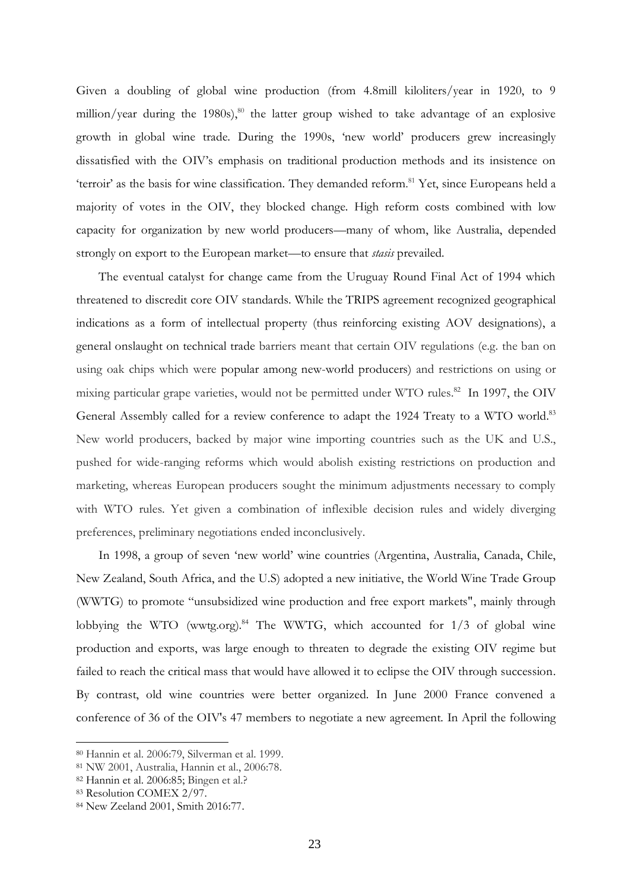Given a doubling of global wine production (from 4.8mill kiloliters/year in 1920, to 9 million/year during the 1980s), <sup>80</sup> the latter group wished to take advantage of an explosive growth in global wine trade. During the 1990s, 'new world' producers grew increasingly dissatisfied with the OIV's emphasis on traditional production methods and its insistence on 'terroir' as the basis for wine classification. They demanded reform.<sup>81</sup> Yet, since Europeans held a majority of votes in the OIV, they blocked change. High reform costs combined with low capacity for organization by new world producers—many of whom, like Australia, depended strongly on export to the European market—to ensure that *stasis* prevailed.

The eventual catalyst for change came from the Uruguay Round Final Act of 1994 which threatened to discredit core OIV standards. While the TRIPS agreement recognized geographical indications as a form of intellectual property (thus reinforcing existing AOV designations), a general onslaught on technical trade barriers meant that certain OIV regulations (e.g. the ban on using oak chips which were popular among new-world producers) and restrictions on using or mixing particular grape varieties, would not be permitted under WTO rules.<sup>82</sup> In 1997, the OIV General Assembly called for a review conference to adapt the 1924 Treaty to a WTO world.<sup>83</sup> New world producers, backed by major wine importing countries such as the UK and U.S., pushed for wide-ranging reforms which would abolish existing restrictions on production and marketing, whereas European producers sought the minimum adjustments necessary to comply with WTO rules. Yet given a combination of inflexible decision rules and widely diverging preferences, preliminary negotiations ended inconclusively.

In 1998, a group of seven 'new world' wine countries (Argentina, Australia, Canada, Chile, New Zealand, South Africa, and the U.S) adopted a new initiative, the World Wine Trade Group (WWTG) to promote "unsubsidized wine production and free export markets", mainly through lobbying the WTO (wwtg.org).<sup>84</sup> The WWTG, which accounted for  $1/3$  of global wine production and exports, was large enough to threaten to degrade the existing OIV regime but failed to reach the critical mass that would have allowed it to eclipse the OIV through succession. By contrast, old wine countries were better organized. In June 2000 France convened a conference of 36 of the OIV's 47 members to negotiate a new agreement. In April the following

<sup>80</sup> Hannin et al. 2006:79, Silverman et al. 1999.

<sup>81</sup> NW 2001, Australia, Hannin et al., 2006:78.

<sup>82</sup> Hannin et al. 2006:85; Bingen et al.?

<sup>83</sup> Resolution COMEX 2/97.

<sup>84</sup> New Zeeland 2001, Smith 2016:77.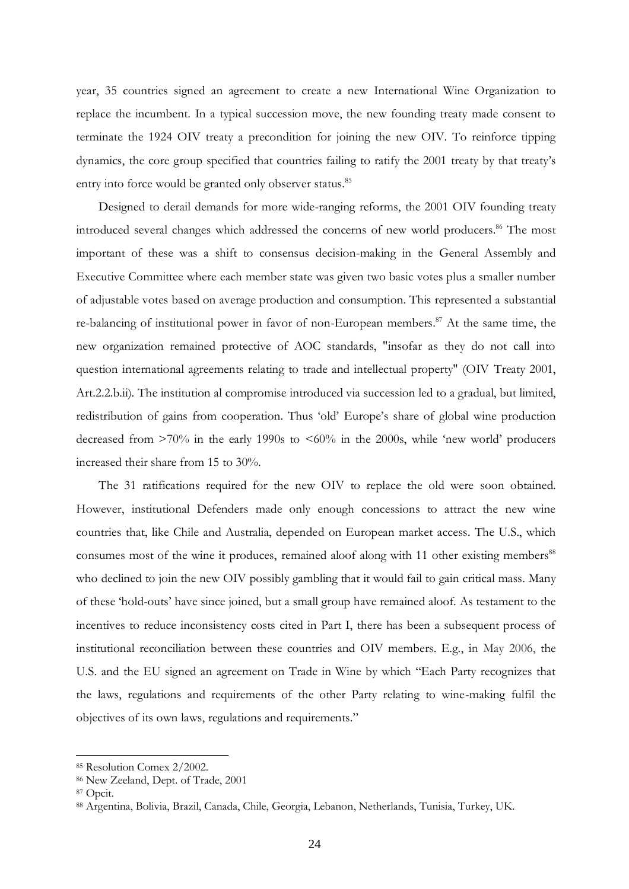year, 35 countries signed an agreement to create a new International Wine Organization to replace the incumbent. In a typical succession move, the new founding treaty made consent to terminate the 1924 OIV treaty a precondition for joining the new OIV. To reinforce tipping dynamics, the core group specified that countries failing to ratify the 2001 treaty by that treaty's entry into force would be granted only observer status.<sup>85</sup>

Designed to derail demands for more wide-ranging reforms, the 2001 OIV founding treaty introduced several changes which addressed the concerns of new world producers. <sup>86</sup> The most important of these was a shift to consensus decision-making in the General Assembly and Executive Committee where each member state was given two basic votes plus a smaller number of adjustable votes based on average production and consumption. This represented a substantial re-balancing of institutional power in favor of non-European members.<sup>87</sup> At the same time, the new organization remained protective of AOC standards, "insofar as they do not call into question international agreements relating to trade and intellectual property" (OIV Treaty 2001, Art.2.2.b.ii). The institution al compromise introduced via succession led to a gradual, but limited, redistribution of gains from cooperation. Thus 'old' Europe's share of global wine production decreased from  $>70\%$  in the early 1990s to  $<60\%$  in the 2000s, while 'new world' producers increased their share from 15 to 30%.

The 31 ratifications required for the new OIV to replace the old were soon obtained. However, institutional Defenders made only enough concessions to attract the new wine countries that, like Chile and Australia, depended on European market access. The U.S., which consumes most of the wine it produces, remained aloof along with 11 other existing members<sup>88</sup> who declined to join the new OIV possibly gambling that it would fail to gain critical mass. Many of these 'hold-outs' have since joined, but a small group have remained aloof. As testament to the incentives to reduce inconsistency costs cited in Part I, there has been a subsequent process of institutional reconciliation between these countries and OIV members. E.g., in May 2006, the U.S. and the EU signed an agreement on Trade in Wine by which "Each Party recognizes that the laws, regulations and requirements of the other Party relating to wine-making fulfil the objectives of its own laws, regulations and requirements."

<sup>85</sup> Resolution Comex 2/2002.

<sup>86</sup> New Zeeland, Dept. of Trade, 2001

<sup>87</sup> Opcit.

<sup>88</sup> Argentina, Bolivia, Brazil, Canada, Chile, Georgia, Lebanon, Netherlands, Tunisia, Turkey, UK.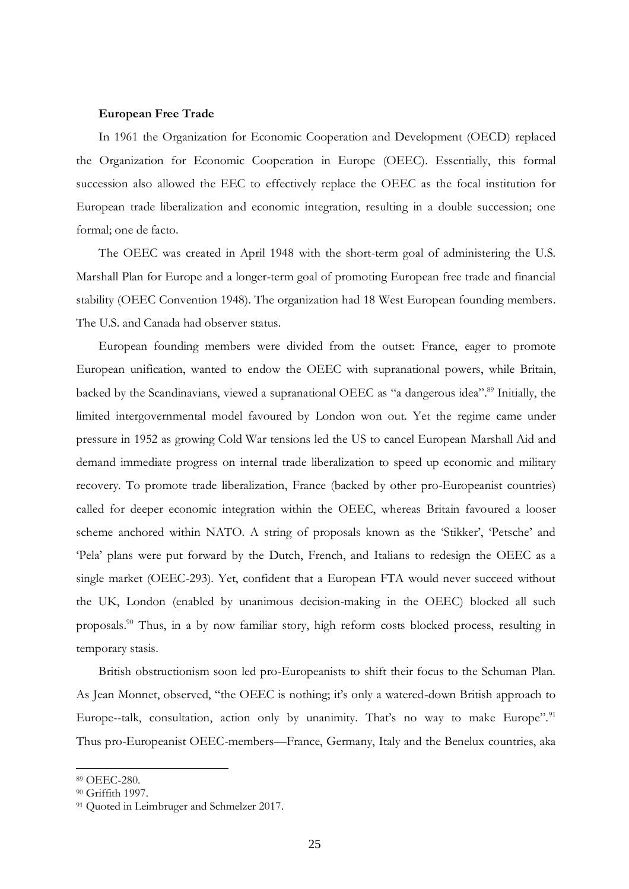#### **European Free Trade**

In 1961 the Organization for Economic Cooperation and Development (OECD) replaced the Organization for Economic Cooperation in Europe (OEEC). Essentially, this formal succession also allowed the EEC to effectively replace the OEEC as the focal institution for European trade liberalization and economic integration, resulting in a double succession; one formal; one de facto.

The OEEC was created in April 1948 with the short-term goal of administering the U.S. Marshall Plan for Europe and a longer-term goal of promoting European free trade and financial stability (OEEC Convention 1948). The organization had 18 West European founding members. The U.S. and Canada had observer status.

European founding members were divided from the outset: France, eager to promote European unification, wanted to endow the OEEC with supranational powers, while Britain, backed by the Scandinavians, viewed a supranational OEEC as "a dangerous idea".<sup>89</sup> Initially, the limited intergovernmental model favoured by London won out. Yet the regime came under pressure in 1952 as growing Cold War tensions led the US to cancel European Marshall Aid and demand immediate progress on internal trade liberalization to speed up economic and military recovery. To promote trade liberalization, France (backed by other pro-Europeanist countries) called for deeper economic integration within the OEEC, whereas Britain favoured a looser scheme anchored within NATO. A string of proposals known as the 'Stikker', 'Petsche' and 'Pela' plans were put forward by the Dutch, French, and Italians to redesign the OEEC as a single market (OEEC-293). Yet, confident that a European FTA would never succeed without the UK, London (enabled by unanimous decision-making in the OEEC) blocked all such proposals. <sup>90</sup> Thus, in a by now familiar story, high reform costs blocked process, resulting in temporary stasis.

British obstructionism soon led pro-Europeanists to shift their focus to the Schuman Plan. As Jean Monnet, observed, "the OEEC is nothing; it's only a watered-down British approach to Europe--talk, consultation, action only by unanimity. That's no way to make Europe".<sup>91</sup> Thus pro-Europeanist OEEC-members—France, Germany, Italy and the Benelux countries, aka

<sup>89</sup> OEEC-280.

<sup>90</sup> Griffith 1997.

<sup>&</sup>lt;sup>91</sup> Ouoted in Leimbruger and Schmelzer 2017.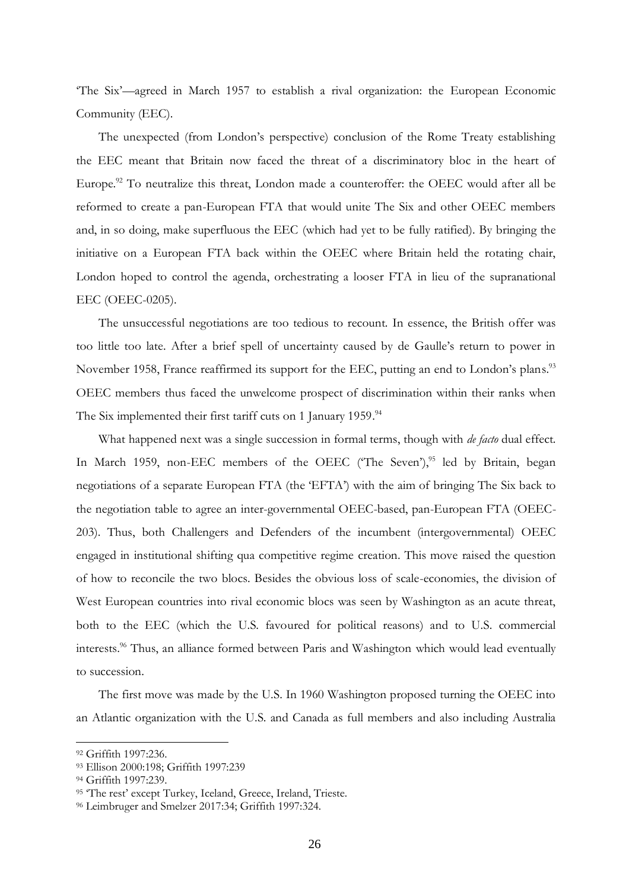'The Six'—agreed in March 1957 to establish a rival organization: the European Economic Community (EEC).

The unexpected (from London's perspective) conclusion of the Rome Treaty establishing the EEC meant that Britain now faced the threat of a discriminatory bloc in the heart of Europe.<sup>92</sup> To neutralize this threat, London made a counteroffer: the OEEC would after all be reformed to create a pan-European FTA that would unite The Six and other OEEC members and, in so doing, make superfluous the EEC (which had yet to be fully ratified). By bringing the initiative on a European FTA back within the OEEC where Britain held the rotating chair, London hoped to control the agenda, orchestrating a looser FTA in lieu of the supranational EEC (OEEC-0205).

The unsuccessful negotiations are too tedious to recount. In essence, the British offer was too little too late. After a brief spell of uncertainty caused by de Gaulle's return to power in November 1958, France reaffirmed its support for the EEC, putting an end to London's plans.<sup>93</sup> OEEC members thus faced the unwelcome prospect of discrimination within their ranks when The Six implemented their first tariff cuts on 1 January 1959.<sup>94</sup>

What happened next was a single succession in formal terms, though with *de facto* dual effect. In March 1959, non-EEC members of the OEEC ('The Seven'),<sup>95</sup> led by Britain, began negotiations of a separate European FTA (the 'EFTA') with the aim of bringing The Six back to the negotiation table to agree an inter-governmental OEEC-based, pan-European FTA (OEEC-203). Thus, both Challengers and Defenders of the incumbent (intergovernmental) OEEC engaged in institutional shifting qua competitive regime creation. This move raised the question of how to reconcile the two blocs. Besides the obvious loss of scale-economies, the division of West European countries into rival economic blocs was seen by Washington as an acute threat, both to the EEC (which the U.S. favoured for political reasons) and to U.S. commercial interests. <sup>96</sup> Thus, an alliance formed between Paris and Washington which would lead eventually to succession.

The first move was made by the U.S. In 1960 Washington proposed turning the OEEC into an Atlantic organization with the U.S. and Canada as full members and also including Australia

<sup>92</sup> Griffith 1997:236.

<sup>93</sup> Ellison 2000:198; Griffith 1997:239

<sup>94</sup> Griffith 1997:239.

<sup>95 &#</sup>x27;The rest' except Turkey, Iceland, Greece, Ireland, Trieste.

<sup>96</sup> Leimbruger and Smelzer 2017:34; Griffith 1997:324.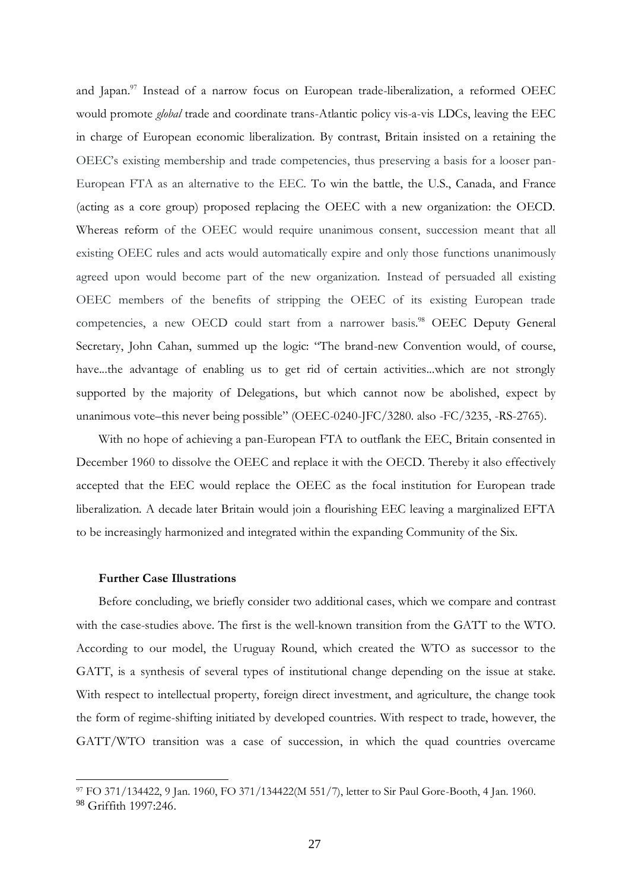and Japan. <sup>97</sup> Instead of a narrow focus on European trade-liberalization, a reformed OEEC would promote *global* trade and coordinate trans-Atlantic policy vis-a-vis LDCs, leaving the EEC in charge of European economic liberalization. By contrast, Britain insisted on a retaining the OEEC's existing membership and trade competencies, thus preserving a basis for a looser pan-European FTA as an alternative to the EEC. To win the battle, the U.S., Canada, and France (acting as a core group) proposed replacing the OEEC with a new organization: the OECD. Whereas reform of the OEEC would require unanimous consent, succession meant that all existing OEEC rules and acts would automatically expire and only those functions unanimously agreed upon would become part of the new organization. Instead of persuaded all existing OEEC members of the benefits of stripping the OEEC of its existing European trade competencies, a new OECD could start from a narrower basis.<sup>98</sup> OEEC Deputy General Secretary, John Cahan, summed up the logic: "The brand-new Convention would, of course, have...the advantage of enabling us to get rid of certain activities...which are not strongly supported by the majority of Delegations, but which cannot now be abolished, expect by unanimous vote–this never being possible" (OEEC-0240-JFC/3280. also -FC/3235, -RS-2765).

With no hope of achieving a pan-European FTA to outflank the EEC, Britain consented in December 1960 to dissolve the OEEC and replace it with the OECD. Thereby it also effectively accepted that the EEC would replace the OEEC as the focal institution for European trade liberalization. A decade later Britain would join a flourishing EEC leaving a marginalized EFTA to be increasingly harmonized and integrated within the expanding Community of the Six.

## **Further Case Illustrations**

Before concluding, we briefly consider two additional cases, which we compare and contrast with the case-studies above. The first is the well-known transition from the GATT to the WTO. According to our model, the Uruguay Round, which created the WTO as successor to the GATT, is a synthesis of several types of institutional change depending on the issue at stake. With respect to intellectual property, foreign direct investment, and agriculture, the change took the form of regime-shifting initiated by developed countries. With respect to trade, however, the GATT/WTO transition was a case of succession, in which the quad countries overcame

<sup>97</sup> FO 371/134422, 9 Jan. 1960, FO 371/134422(M 551/7), letter to Sir Paul Gore-Booth, 4 Jan. 1960. <sup>98</sup> Griffith 1997:246.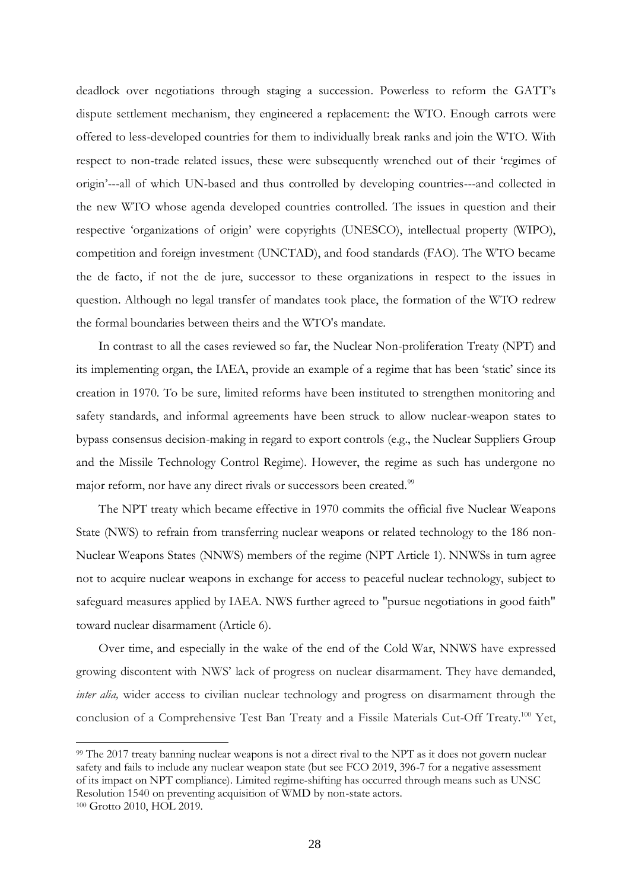deadlock over negotiations through staging a succession. Powerless to reform the GATT's dispute settlement mechanism, they engineered a replacement: the WTO. Enough carrots were offered to less-developed countries for them to individually break ranks and join the WTO. With respect to non-trade related issues, these were subsequently wrenched out of their 'regimes of origin'---all of which UN-based and thus controlled by developing countries---and collected in the new WTO whose agenda developed countries controlled. The issues in question and their respective 'organizations of origin' were copyrights (UNESCO), intellectual property (WIPO), competition and foreign investment (UNCTAD), and food standards (FAO). The WTO became the de facto, if not the de jure, successor to these organizations in respect to the issues in question. Although no legal transfer of mandates took place, the formation of the WTO redrew the formal boundaries between theirs and the WTO's mandate.

In contrast to all the cases reviewed so far, the Nuclear Non-proliferation Treaty (NPT) and its implementing organ, the IAEA, provide an example of a regime that has been 'static' since its creation in 1970. To be sure, limited reforms have been instituted to strengthen monitoring and safety standards, and informal agreements have been struck to allow nuclear-weapon states to bypass consensus decision-making in regard to export controls (e.g., the Nuclear Suppliers Group and the Missile Technology Control Regime). However, the regime as such has undergone no major reform, nor have any direct rivals or successors been created.<sup>99</sup>

The NPT treaty which became effective in 1970 commits the official five Nuclear Weapons State (NWS) to refrain from transferring nuclear weapons or related technology to the 186 non-Nuclear Weapons States (NNWS) members of the regime (NPT Article 1). NNWSs in turn agree not to acquire nuclear weapons in exchange for access to peaceful nuclear technology, subject to safeguard measures applied by IAEA. NWS further agreed to "pursue negotiations in good faith" toward nuclear disarmament (Article 6).

Over time, and especially in the wake of the end of the Cold War, NNWS have expressed growing discontent with NWS' lack of progress on nuclear disarmament. They have demanded, *inter alia*, wider access to civilian nuclear technology and progress on disarmament through the conclusion of a Comprehensive Test Ban Treaty and a Fissile Materials Cut-Off Treaty.<sup>100</sup> Yet,

<sup>99</sup> The 2017 treaty banning nuclear weapons is not a direct rival to the NPT as it does not govern nuclear safety and fails to include any nuclear weapon state (but see FCO 2019, 396-7 for a negative assessment of its impact on NPT compliance). Limited regime-shifting has occurred through means such as UNSC Resolution 1540 on preventing acquisition of WMD by non-state actors.

<sup>100</sup> Grotto 2010, HOL 2019.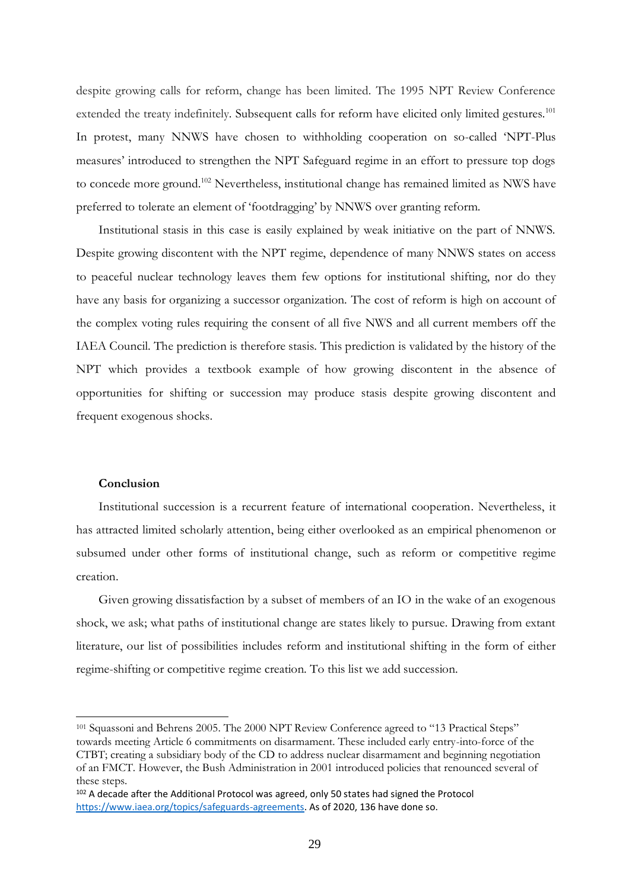despite growing calls for reform, change has been limited. The 1995 NPT Review Conference extended the treaty indefinitely. Subsequent calls for reform have elicited only limited gestures.<sup>101</sup> In protest, many NNWS have chosen to withholding cooperation on so-called 'NPT-Plus measures' introduced to strengthen the NPT Safeguard regime in an effort to pressure top dogs to concede more ground.<sup>102</sup> Nevertheless, institutional change has remained limited as NWS have preferred to tolerate an element of 'footdragging' by NNWS over granting reform.

Institutional stasis in this case is easily explained by weak initiative on the part of NNWS. Despite growing discontent with the NPT regime, dependence of many NNWS states on access to peaceful nuclear technology leaves them few options for institutional shifting, nor do they have any basis for organizing a successor organization. The cost of reform is high on account of the complex voting rules requiring the consent of all five NWS and all current members off the IAEA Council. The prediction is therefore stasis. This prediction is validated by the history of the NPT which provides a textbook example of how growing discontent in the absence of opportunities for shifting or succession may produce stasis despite growing discontent and frequent exogenous shocks.

## **Conclusion**

Institutional succession is a recurrent feature of international cooperation. Nevertheless, it has attracted limited scholarly attention, being either overlooked as an empirical phenomenon or subsumed under other forms of institutional change, such as reform or competitive regime creation.

Given growing dissatisfaction by a subset of members of an IO in the wake of an exogenous shock, we ask; what paths of institutional change are states likely to pursue. Drawing from extant literature, our list of possibilities includes reform and institutional shifting in the form of either regime-shifting or competitive regime creation. To this list we add succession.

<sup>101</sup> Squassoni and Behrens 2005. The 2000 NPT Review Conference agreed to "13 Practical Steps" towards meeting Article 6 commitments on disarmament. These included early entry-into-force of the CTBT; creating a subsidiary body of the CD to address nuclear disarmament and beginning negotiation of an FMCT. However, the Bush Administration in 2001 introduced policies that renounced several of these steps.

<sup>102</sup> A decade after the Additional Protocol was agreed, only 50 states had signed the Protocol [https://www.iaea.org/topics/safeguards-agreements.](https://www.iaea.org/topics/safeguards-agreements) As of 2020, 136 have done so.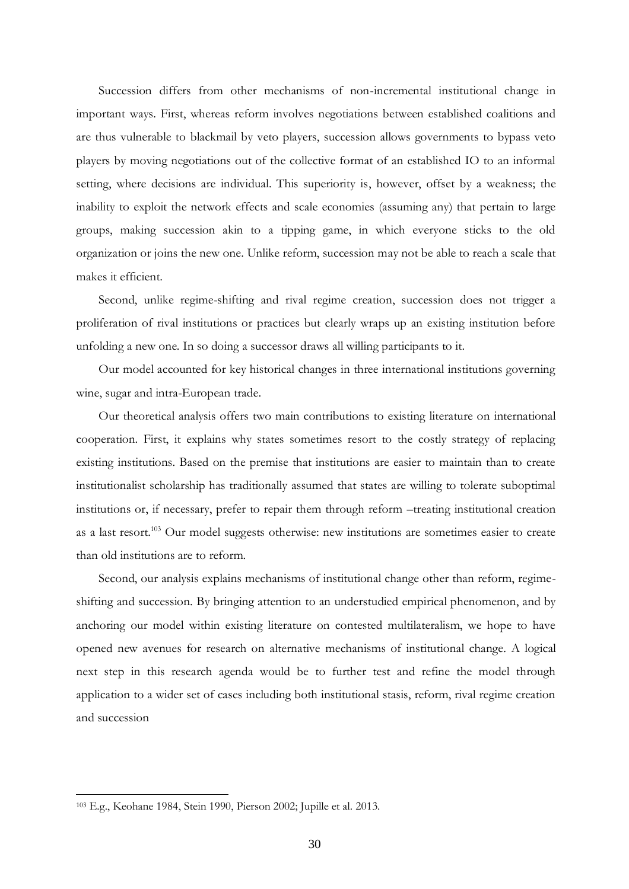Succession differs from other mechanisms of non-incremental institutional change in important ways. First, whereas reform involves negotiations between established coalitions and are thus vulnerable to blackmail by veto players, succession allows governments to bypass veto players by moving negotiations out of the collective format of an established IO to an informal setting, where decisions are individual. This superiority is, however, offset by a weakness; the inability to exploit the network effects and scale economies (assuming any) that pertain to large groups, making succession akin to a tipping game, in which everyone sticks to the old organization or joins the new one. Unlike reform, succession may not be able to reach a scale that makes it efficient.

Second, unlike regime-shifting and rival regime creation, succession does not trigger a proliferation of rival institutions or practices but clearly wraps up an existing institution before unfolding a new one. In so doing a successor draws all willing participants to it.

Our model accounted for key historical changes in three international institutions governing wine, sugar and intra-European trade.

Our theoretical analysis offers two main contributions to existing literature on international cooperation. First, it explains why states sometimes resort to the costly strategy of replacing existing institutions. Based on the premise that institutions are easier to maintain than to create institutionalist scholarship has traditionally assumed that states are willing to tolerate suboptimal institutions or, if necessary, prefer to repair them through reform –treating institutional creation as a last resort.<sup>103</sup> Our model suggests otherwise: new institutions are sometimes easier to create than old institutions are to reform.

Second, our analysis explains mechanisms of institutional change other than reform, regimeshifting and succession. By bringing attention to an understudied empirical phenomenon, and by anchoring our model within existing literature on contested multilateralism, we hope to have opened new avenues for research on alternative mechanisms of institutional change. A logical next step in this research agenda would be to further test and refine the model through application to a wider set of cases including both institutional stasis, reform, rival regime creation and succession

<sup>103</sup> E.g., Keohane 1984, Stein 1990, Pierson 2002; Jupille et al. 2013.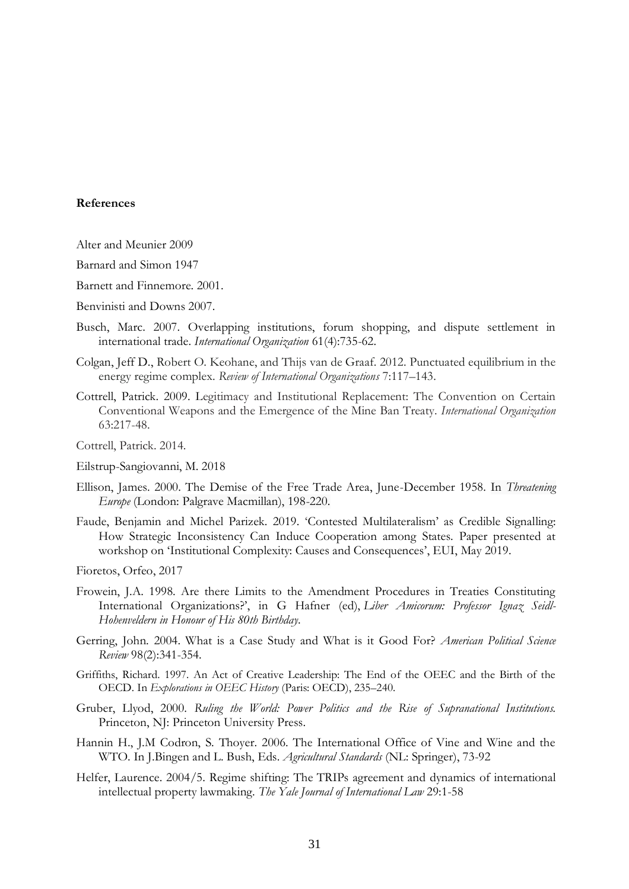#### **References**

- Alter and Meunier 2009
- Barnard and Simon 1947
- Barnett and Finnemore. 2001.
- Benvinisti and Downs 2007.
- Busch, Marc. 2007. Overlapping institutions, forum shopping, and dispute settlement in international trade. *International Organization* 61(4):735-62.
- Colgan, Jeff D., Robert O. Keohane, and Thijs van de Graaf. 2012. Punctuated equilibrium in the energy regime complex. *Review of International Organizations* 7:117–143.
- Cottrell, Patrick. 2009. Legitimacy and Institutional Replacement: The Convention on Certain Conventional Weapons and the Emergence of the Mine Ban Treaty. *International Organization* 63:217-48.
- Cottrell, Patrick. 2014.
- Eilstrup-Sangiovanni, M. 2018
- Ellison, James. 2000. The Demise of the Free Trade Area, June-December 1958. In *Threatening Europe* (London: Palgrave Macmillan), 198-220.
- Faude, Benjamin and Michel Parizek. 2019. 'Contested Multilateralism' as Credible Signalling: How Strategic Inconsistency Can Induce Cooperation among States. Paper presented at workshop on 'Institutional Complexity: Causes and Consequences', EUI, May 2019.
- Fioretos, Orfeo, 2017
- [Frowein, J.A. 1998. Are there Limits to the Amendment Procedures in Treaties Constituting](https://opil.ouplaw.com/view/10.1093/law:epil/9780199231690/law-9780199231690-e1483)  [International Organizations?', in G Hafner \(ed\),](https://opil.ouplaw.com/view/10.1093/law:epil/9780199231690/law-9780199231690-e1483) *Liber Amicorum: Professor Ignaz Seidl-[Hohenveldern in Honour of His 80th Birthday](https://opil.ouplaw.com/view/10.1093/law:epil/9780199231690/law-9780199231690-e1483)*.
- Gerring, John. 2004. What is a Case Study and What is it Good For? *American Political Science Review* 98(2):341-354.
- Griffiths, Richard. 1997. An Act of Creative Leadership: The End of the OEEC and the Birth of the OECD. In *Explorations in OEEC History* (Paris: OECD), 235–240.
- Gruber, Llyod, 2000. *Ruling the World: Power Politics and the Rise of Supranational Institutions.*  Princeton, NJ: Princeton University Press.
- Hannin H., J.M Codron, S. Thoyer. 2006. The International Office of Vine and Wine and the WTO. In J.Bingen and L. Bush, Eds. *Agricultural Standards* (NL: Springer), 73-92
- Helfer, Laurence. 2004/5. Regime shifting: The TRIPs agreement and dynamics of international intellectual property lawmaking. *The Yale Journal of International Law* 29:1-58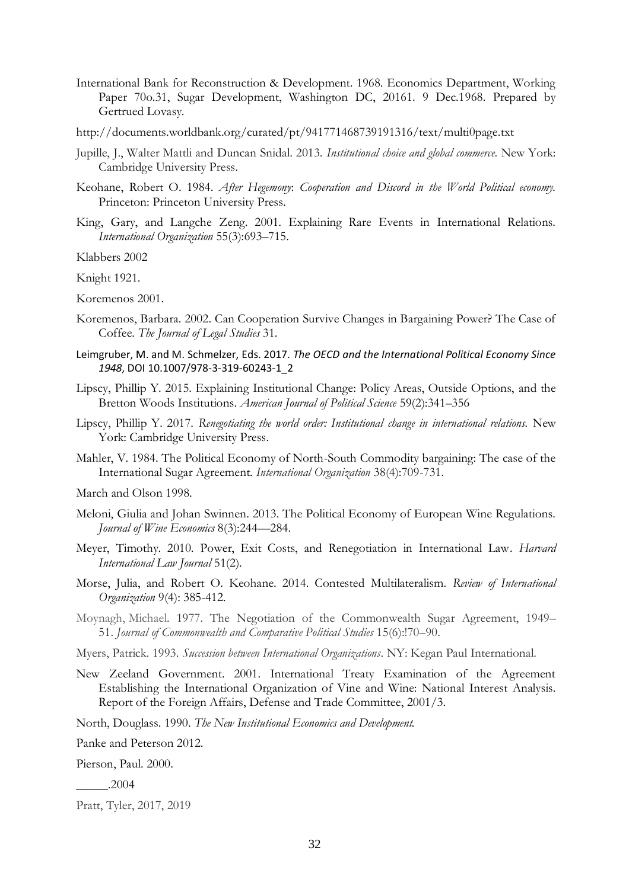- International Bank for Reconstruction & Development. 1968. Economics Department, Working Paper 70o.31, Sugar Development, Washington DC, 20161. 9 Dec.1968. Prepared by Gertrued Lovasy.
- http://documents.worldbank.org/curated/pt/941771468739191316/text/multi0page.txt
- Jupille, J., Walter Mattli and Duncan Snidal. 2013. *Institutional choice and global commerce*. New York: Cambridge University Press.
- Keohane, Robert O. 1984. *After Hegemony*: *Cooperation and Discord in the World Political economy.*  Princeton: Princeton University Press.
- King, Gary, and Langche Zeng. 2001. Explaining Rare Events in International Relations. *International Organization* 55(3):693–715.

Klabbers 2002

Knight 1921.

Koremenos 2001.

- Koremenos, Barbara. 2002. Can Cooperation Survive Changes in Bargaining Power? The Case of Coffee. *The Journal of Legal Studies* 31.
- Leimgruber, M. and M. Schmelzer, Eds. 2017. *The OECD and the International Political Economy Since 1948*, DOI 10.1007/978-3-319-60243-1\_2
- Lipscy, Phillip Y. 2015. Explaining Institutional Change: Policy Areas, Outside Options, and the Bretton Woods Institutions. *American Journal of Political Science* 59(2):341–356
- Lipscy, Phillip Y. 2017. *Renegotiating the world order: Institutional change in international relations.* New York: Cambridge University Press.
- Mahler, V. 1984. The Political Economy of North-South Commodity bargaining: The case of the International Sugar Agreement. *International Organization* 38(4):709-731.

March and Olson 1998.

- Meloni, Giulia and Johan Swinnen. 2013. The Political Economy of European Wine Regulations. *Journal of Wine Economics* 8(3):244—284.
- Meyer, Timothy. 2010. Power, Exit Costs, and Renegotiation in International Law. *Harvard International Law Journal* 51(2).
- Morse, Julia, and Robert O. Keohane. 2014. Contested Multilateralism. *Review of International Organization* 9(4): 385-412.

Moynagh, Michael. 1977. The Negotiation of the Commonwealth Sugar Agreement, 1949– 51. *Journal of Commonwealth and Comparative Political Studies* 15(6):!70–90.

- Myers, Patrick. 1993. *Succession between International Organizations*. NY: Kegan Paul International.
- New Zeeland Government. 2001. International Treaty Examination of the Agreement Establishing the International Organization of Vine and Wine: National Interest Analysis. Report of the Foreign Affairs, Defense and Trade Committee, 2001/3.

North, Douglass. 1990. *The New Institutional Economics and Development.*

Panke and Peterson 2012.

Pierson, Paul. 2000.

\_\_\_\_\_.2004

Pratt, Tyler, 2017, 2019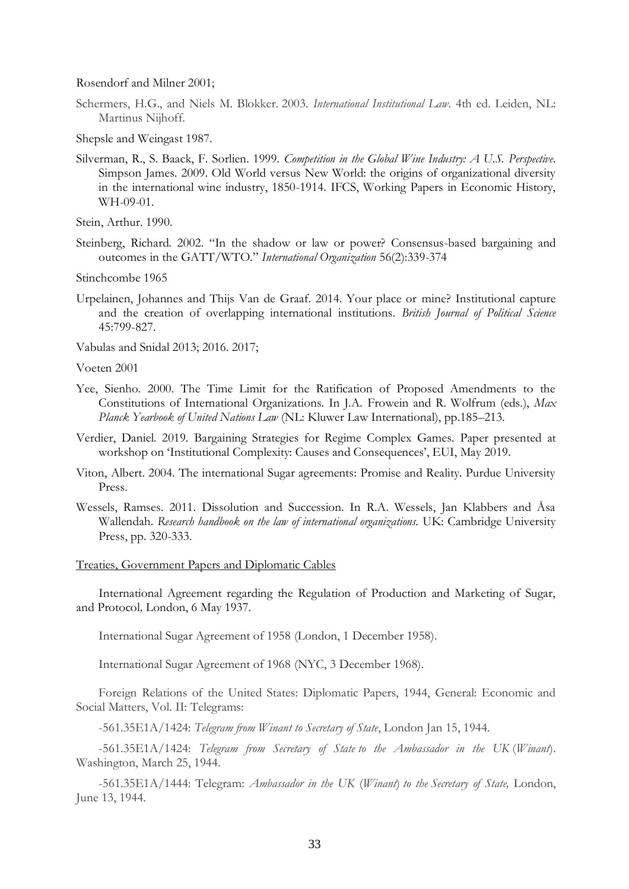Rosendorf and Milner 2001;

Schermers, H.G., and Niels M. Blokker. 2003. *International Institutional Law*. 4th ed. Leiden, NL: Martinus Nijhoff.

Shepsle and Weingast 1987.

Silverman, R., S. Baack, F. Sorlien. 1999. *Competition in the Global Wine Industry: A U.S. Perspective*. Simpson James. 2009. Old World versus New World: the origins of organizational diversity in the international wine industry, 1850-1914. IFCS, Working Papers in Economic History, WH-09-01.

Stein, Arthur. 1990.

Steinberg, Richard. 2002. "In the shadow or law or power? Consensus-based bargaining and outcomes in the GATT/WTO." *International Organization* 56(2):339-374

Stinchcombe 1965

Urpelainen, Johannes and Thijs Van de Graaf. 2014. Your place or mine? Institutional capture and the creation of overlapping international institutions. *British Journal of Political Science* 45:799-827.

Vabulas and Snidal 2013; 2016. 2017;

Voeten 2001

- Yee, Sienho. 2000. The Time Limit for the Ratification of Proposed Amendments to the Constitutions of International Organizations. In J.A. Frowein and R. Wolfrum (eds.), *Max Planck Yearbook of United Nations Law* (NL: Kluwer Law International), pp.185–[213.](https://opil.ouplaw.com/view/10.1093/law:epil/9780199231690/law-9780199231690-e1483)
- Verdier, Daniel. 2019. Bargaining Strategies for Regime Complex Games. Paper presented at workshop on 'Institutional Complexity: Causes and Consequences', EUI, May 2019.
- Viton, Albert. 2004. The international Sugar agreements: Promise and Reality. Purdue University Press.
- Wessels, Ramses. 2011. Dissolution and Succession. In R.A. Wessels, Jan Klabbers and Åsa Wallendah. *Research handbook on the law of international organizations.* UK: Cambridge University Press, pp. 320-333.

#### Treaties, Government Papers and Diplomatic Cables

International Agreement regarding the Regulation of Production and Marketing of Sugar, and Protocol*,* London, 6 May 1937.

International Sugar Agreement of 1958 (London, 1 December 1958).

International Sugar Agreement of 1968 (NYC, 3 December 1968).

Foreign Relations of the United States: Diplomatic Papers, 1944, General: Economic and Social Matters, Vol. II: Telegrams:

-561.35E1A/1424: *Telegram from Winant to Secretary of State*, London Jan 15, 1944.

-561.35E1A/1424: *Telegram from Secretary of State to the Ambassador in the UK* (*Winant*). Washington, March 25, 1944.

-561.35E1A/1444: Telegram: *Ambassador in the UK* (*Winant*) *to the Secretary of State,* London, June 13, 1944.